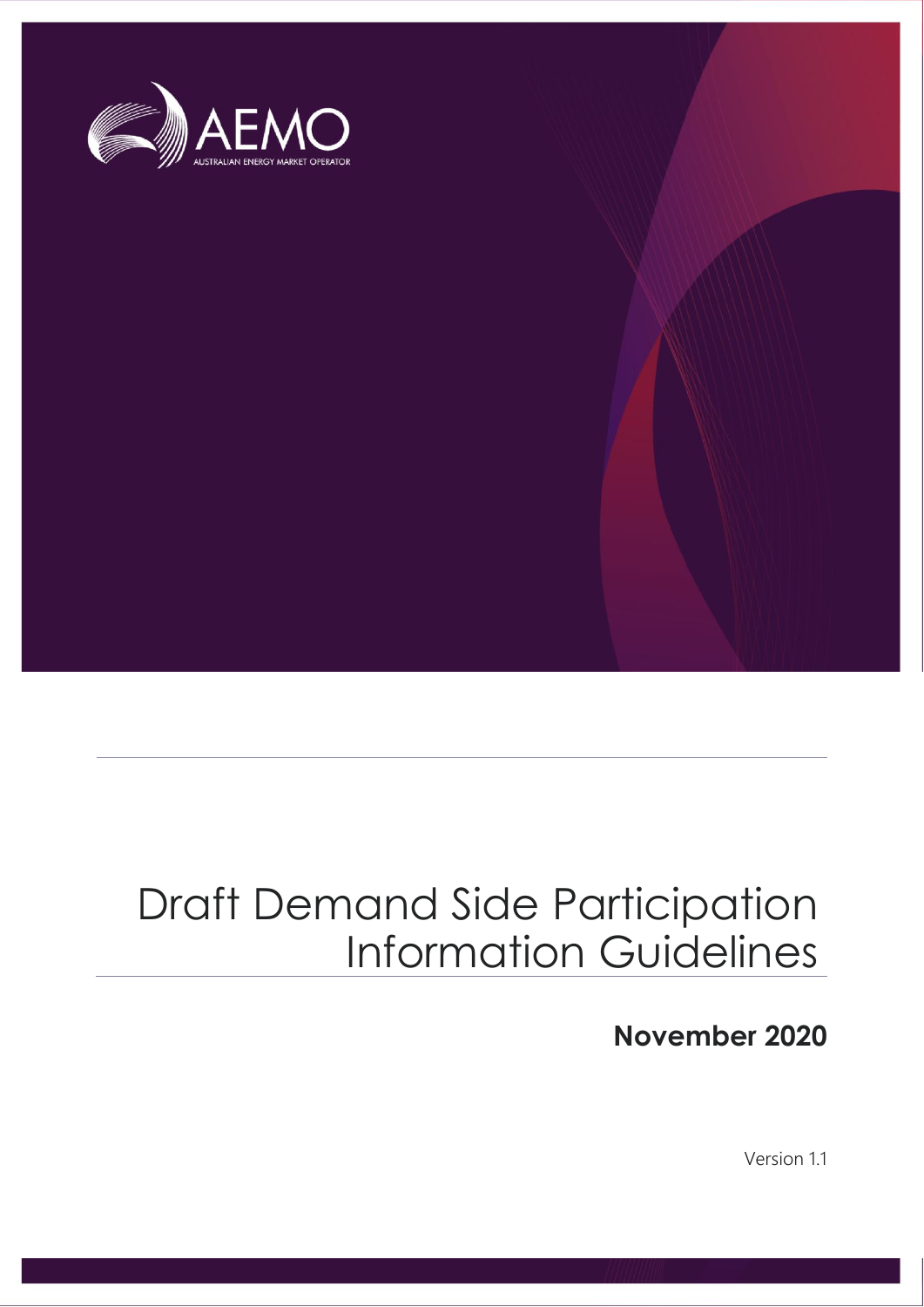

# Draft Demand Side Participation Information Guidelines

**November 2020**

Version 1.1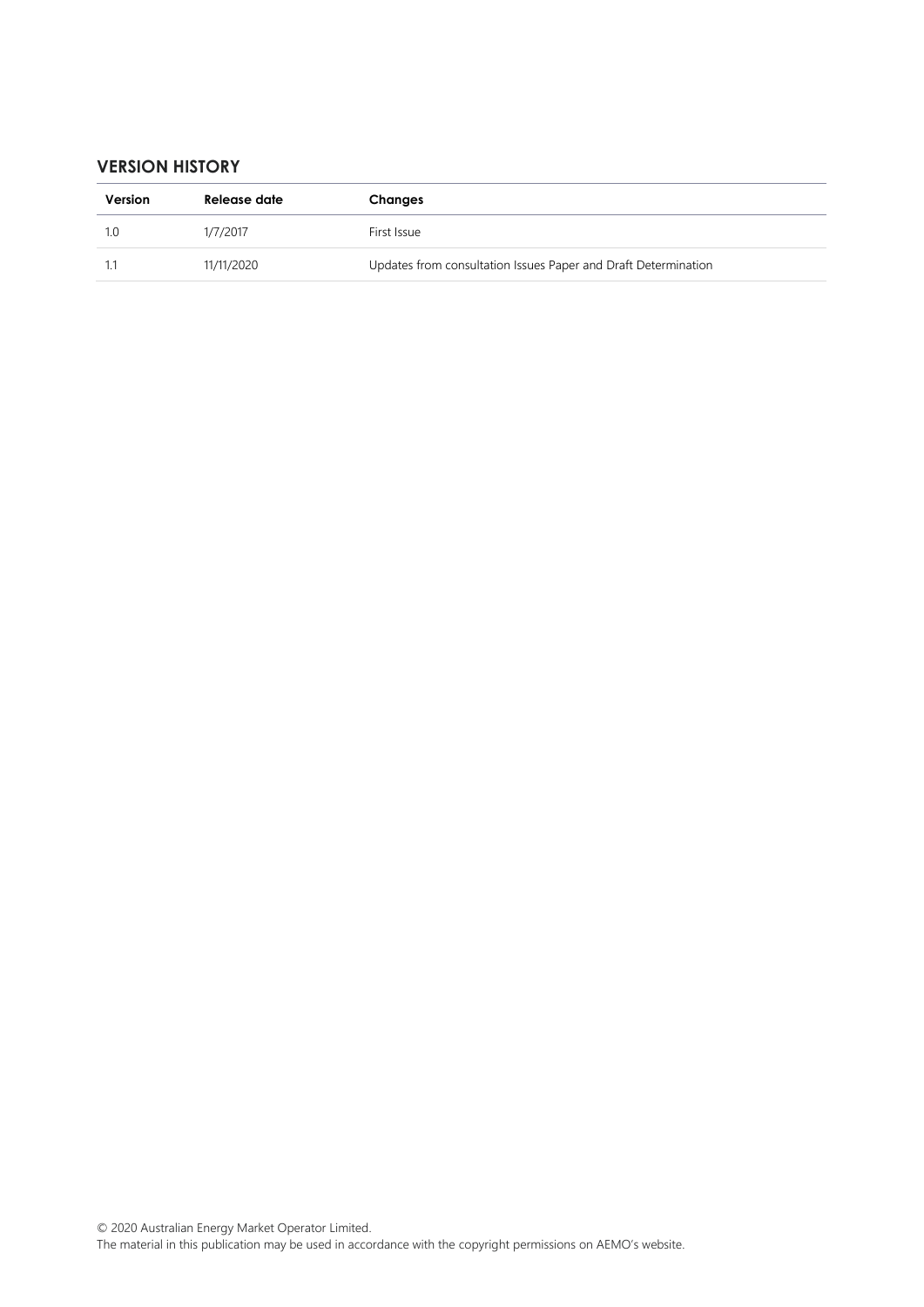#### **VERSION HISTORY**

| Version | Release date | Changes                                                        |
|---------|--------------|----------------------------------------------------------------|
|         | 1/7/2017     | First Issue                                                    |
|         | 11/11/2020   | Updates from consultation Issues Paper and Draft Determination |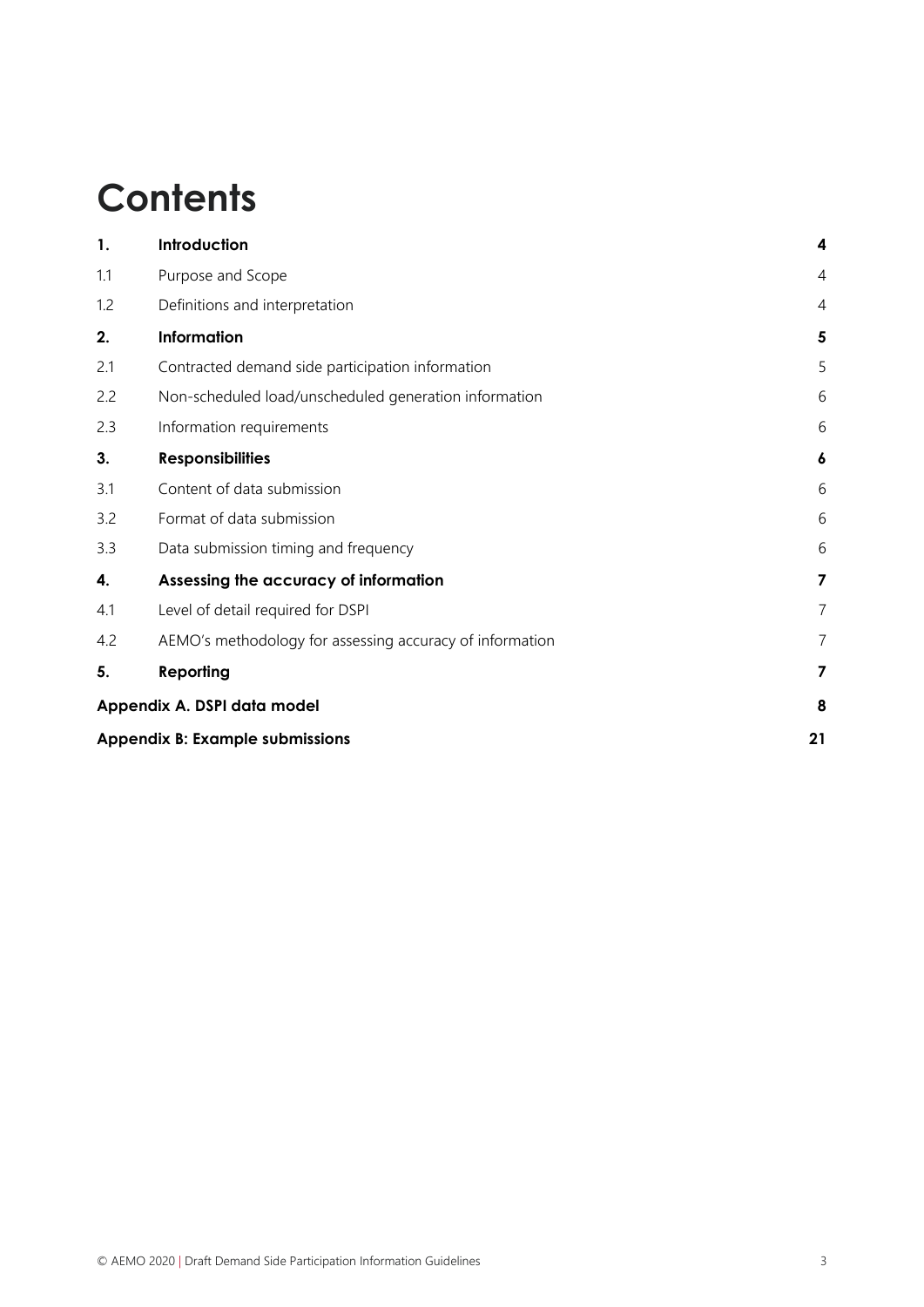# **Contents**

| 1.  | Introduction                                             | 4              |
|-----|----------------------------------------------------------|----------------|
| 1.1 | Purpose and Scope                                        | $\overline{4}$ |
| 1.2 | Definitions and interpretation                           | $\overline{4}$ |
| 2.  | Information                                              | 5              |
| 2.1 | Contracted demand side participation information         | 5              |
| 2.2 | Non-scheduled load/unscheduled generation information    | 6              |
| 2.3 | Information requirements                                 | 6              |
| 3.  | <b>Responsibilities</b>                                  | 6              |
| 3.1 | Content of data submission                               | 6              |
| 3.2 | Format of data submission                                | 6              |
| 3.3 | Data submission timing and frequency                     | 6              |
| 4.  | Assessing the accuracy of information                    | 7              |
| 4.1 | Level of detail required for DSPI                        | $\overline{7}$ |
| 4.2 | AEMO's methodology for assessing accuracy of information | 7              |
| 5.  | Reporting                                                | 7              |
|     | Appendix A. DSPI data model                              | 8              |
|     | <b>Appendix B: Example submissions</b>                   | 21             |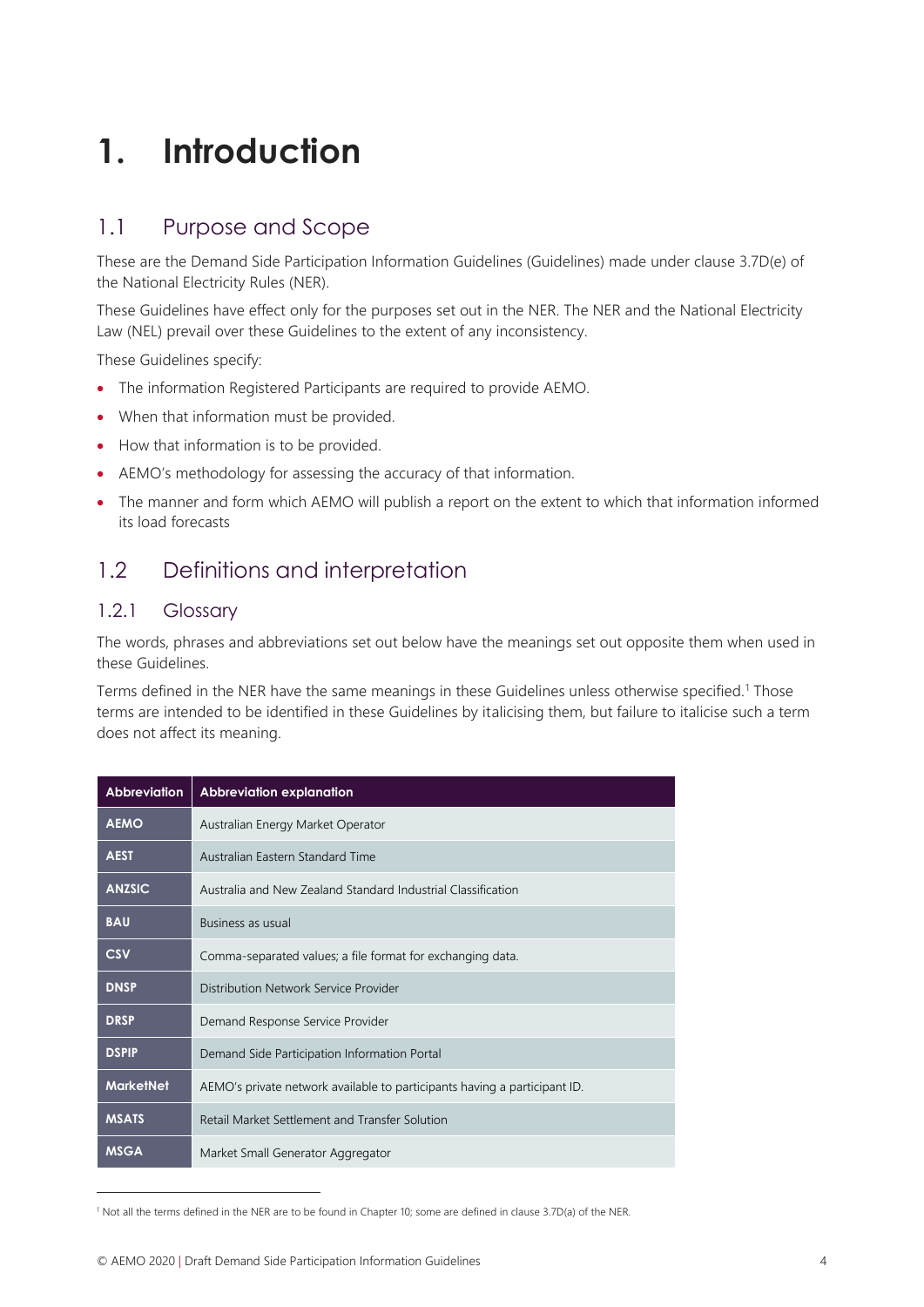# <span id="page-3-0"></span>**1. Introduction**

## <span id="page-3-1"></span>1.1 Purpose and Scope

These are the Demand Side Participation Information Guidelines (Guidelines) made under clause 3.7D(e) of the National Electricity Rules (NER).

These Guidelines have effect only for the purposes set out in the NER. The NER and the National Electricity Law (NEL) prevail over these Guidelines to the extent of any inconsistency.

These Guidelines specify:

- The information Registered Participants are required to provide AEMO.
- When that information must be provided.
- How that information is to be provided.
- AEMO's methodology for assessing the accuracy of that information.
- The manner and form which AEMO will publish a report on the extent to which that information informed its load forecasts

# <span id="page-3-2"></span>1.2 Definitions and interpretation

### 1.2.1 Glossary

The words, phrases and abbreviations set out below have the meanings set out opposite them when used in these Guidelines.

Terms defined in the NER have the same meanings in these Guidelines unless otherwise specified.<sup>1</sup> Those terms are intended to be identified in these Guidelines by italicising them, but failure to italicise such a term does not affect its meaning.

| Abbreviation     | <b>Abbreviation explanation</b>                                           |
|------------------|---------------------------------------------------------------------------|
| <b>AEMO</b>      | Australian Energy Market Operator                                         |
| <b>AEST</b>      | Australian Eastern Standard Time                                          |
| <b>ANZSIC</b>    | Australia and New Zealand Standard Industrial Classification              |
| <b>BAU</b>       | <b>Business as usual</b>                                                  |
| <b>CSV</b>       | Comma-separated values; a file format for exchanging data.                |
| <b>DNSP</b>      | Distribution Network Service Provider                                     |
| <b>DRSP</b>      | Demand Response Service Provider                                          |
| <b>DSPIP</b>     | Demand Side Participation Information Portal                              |
| <b>MarketNet</b> | AEMO's private network available to participants having a participant ID. |
| <b>MSATS</b>     | Retail Market Settlement and Transfer Solution                            |
| <b>MSGA</b>      | Market Small Generator Aggregator                                         |

<sup>1</sup> Not all the terms defined in the NER are to be found in Chapter 10; some are defined in clause 3.7D(a) of the NER.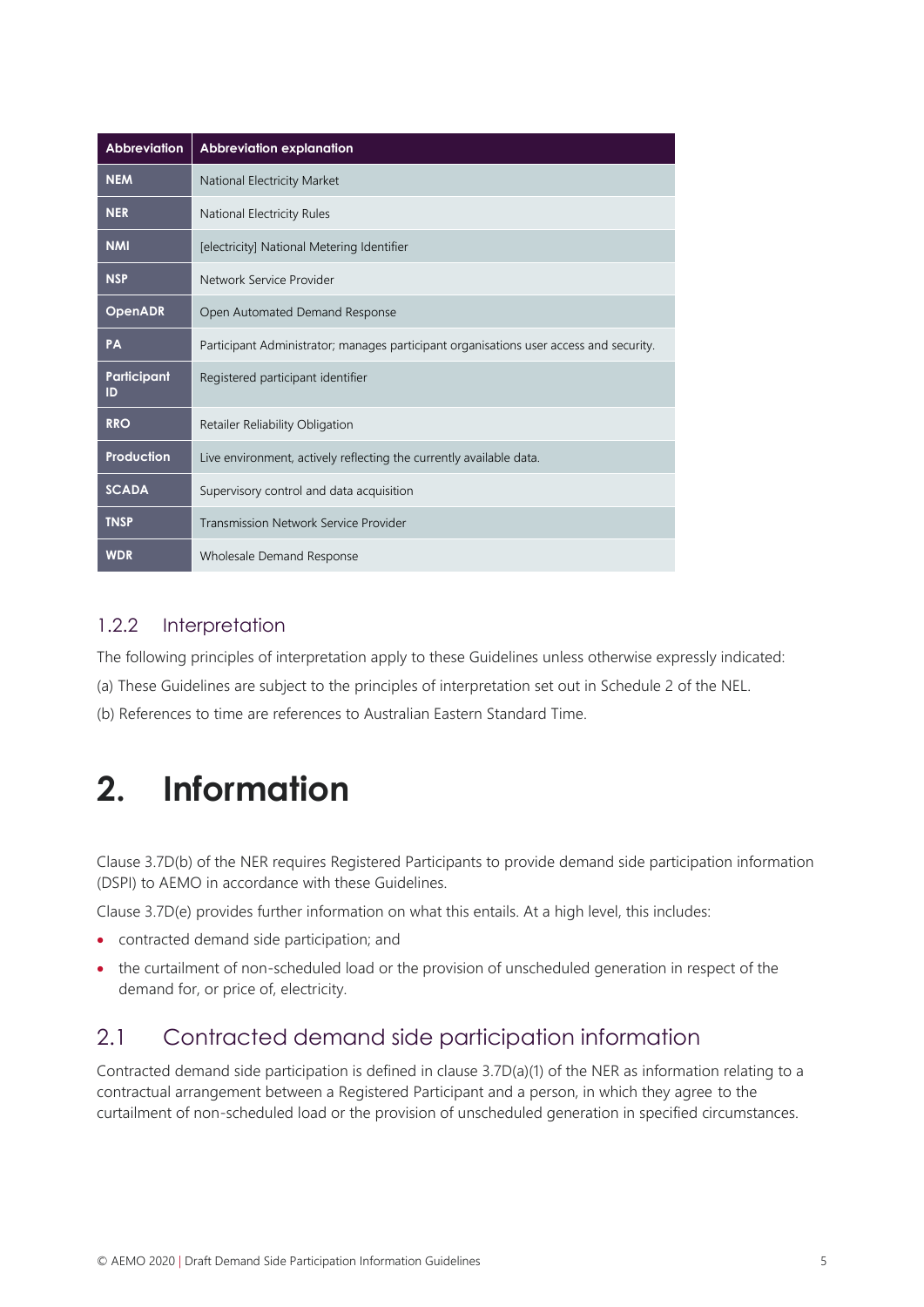| <b>Abbreviation</b> | <b>Abbreviation explanation</b>                                                        |
|---------------------|----------------------------------------------------------------------------------------|
| <b>NEM</b>          | National Electricity Market                                                            |
| <b>NER</b>          | National Electricity Rules                                                             |
| <b>NMI</b>          | [electricity] National Metering Identifier                                             |
| <b>NSP</b>          | Network Service Provider                                                               |
| <b>OpenADR</b>      | Open Automated Demand Response                                                         |
| PA                  | Participant Administrator; manages participant organisations user access and security. |
| Participant<br>ID   | Registered participant identifier                                                      |
| <b>RRO</b>          | Retailer Reliability Obligation                                                        |
| Production          | Live environment, actively reflecting the currently available data.                    |
| <b>SCADA</b>        | Supervisory control and data acquisition                                               |
| <b>TNSP</b>         | Transmission Network Service Provider                                                  |
| <b>WDR</b>          | Wholesale Demand Response                                                              |

### 1.2.2 Interpretation

The following principles of interpretation apply to these Guidelines unless otherwise expressly indicated:

(a) These Guidelines are subject to the principles of interpretation set out in Schedule 2 of the NEL.

<span id="page-4-0"></span>(b) References to time are references to Australian Eastern Standard Time.

# **2. Information**

Clause 3.7D(b) of the NER requires Registered Participants to provide demand side participation information (DSPI) to AEMO in accordance with these Guidelines.

Clause 3.7D(e) provides further information on what this entails. At a high level, this includes:

- contracted demand side participation; and
- the curtailment of non-scheduled load or the provision of unscheduled generation in respect of the demand for, or price of, electricity.

## <span id="page-4-1"></span>2.1 Contracted demand side participation information

Contracted demand side participation is defined in clause 3.7D(a)(1) of the NER as information relating to a contractual arrangement between a Registered Participant and a person, in which they agree to the curtailment of non-scheduled load or the provision of unscheduled generation in specified circumstances.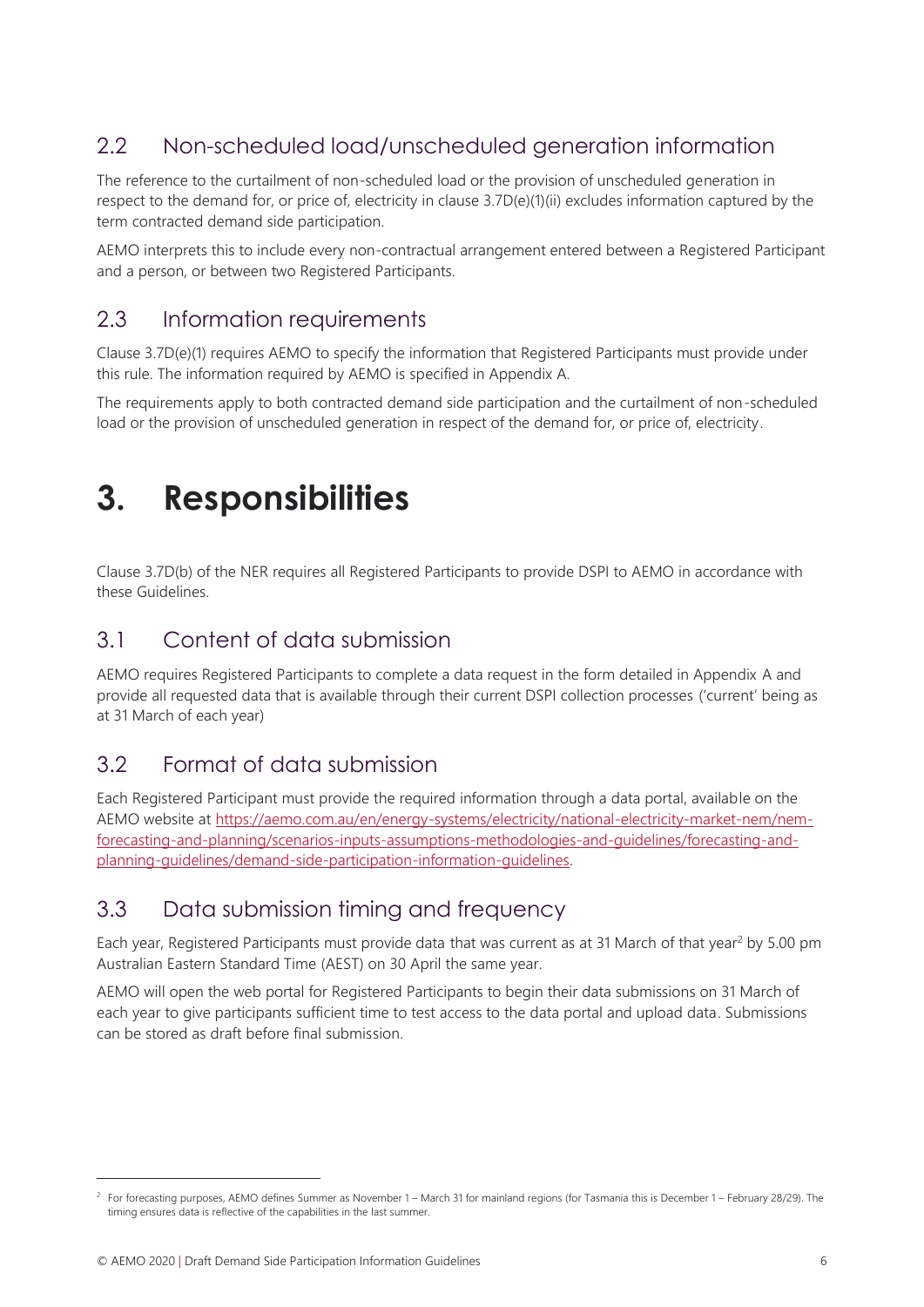# <span id="page-5-0"></span>2.2 Non-scheduled load/unscheduled generation information

The reference to the curtailment of non-scheduled load or the provision of unscheduled generation in respect to the demand for, or price of, electricity in clause 3.7D(e)(1)(ii) excludes information captured by the term contracted demand side participation.

AEMO interprets this to include every non-contractual arrangement entered between a Registered Participant and a person, or between two Registered Participants.

# <span id="page-5-1"></span>2.3 Information requirements

Clause 3.7D(e)(1) requires AEMO to specify the information that Registered Participants must provide under this rule. The information required by AEMO is specified in Appendix A.

The requirements apply to both contracted demand side participation and the curtailment of non-scheduled load or the provision of unscheduled generation in respect of the demand for, or price of, electricity.

# <span id="page-5-2"></span>**3. Responsibilities**

Clause 3.7D(b) of the NER requires all Registered Participants to provide DSPI to AEMO in accordance with these Guidelines.

## <span id="page-5-3"></span>3.1 Content of data submission

AEMO requires Registered Participants to complete a data request in the form detailed in Appendix A and provide all requested data that is available through their current DSPI collection processes ('current' being as at 31 March of each year)

## <span id="page-5-4"></span>3.2 Format of data submission

Each Registered Participant must provide the required information through a data portal, available on the AEMO website at [https://aemo.com.au/en/energy-systems/electricity/national-electricity-market-nem/nem](https://aemo.com.au/en/energy-systems/electricity/national-electricity-market-nem/nem-forecasting-and-planning/scenarios-inputs-assumptions-methodologies-and-guidelines/forecasting-and-planning-guidelines/demand-side-participation-information-guidelines)[forecasting-and-planning/scenarios-inputs-assumptions-methodologies-and-guidelines/forecasting-and](https://aemo.com.au/en/energy-systems/electricity/national-electricity-market-nem/nem-forecasting-and-planning/scenarios-inputs-assumptions-methodologies-and-guidelines/forecasting-and-planning-guidelines/demand-side-participation-information-guidelines)[planning-guidelines/demand-side-participation-information-guidelines.](https://aemo.com.au/en/energy-systems/electricity/national-electricity-market-nem/nem-forecasting-and-planning/scenarios-inputs-assumptions-methodologies-and-guidelines/forecasting-and-planning-guidelines/demand-side-participation-information-guidelines)

# <span id="page-5-5"></span>3.3 Data submission timing and frequency

Each year, Registered Participants must provide data that was current as at 31 March of that year<sup>2</sup> by 5.00 pm Australian Eastern Standard Time (AEST) on 30 April the same year.

AEMO will open the web portal for Registered Participants to begin their data submissions on 31 March of each year to give participants sufficient time to test access to the data portal and upload data. Submissions can be stored as draft before final submission.

<sup>2</sup> For forecasting purposes, AEMO defines Summer as November 1 – March 31 for mainland regions (for Tasmania this is December 1 – February 28/29). The timing ensures data is reflective of the capabilities in the last summer.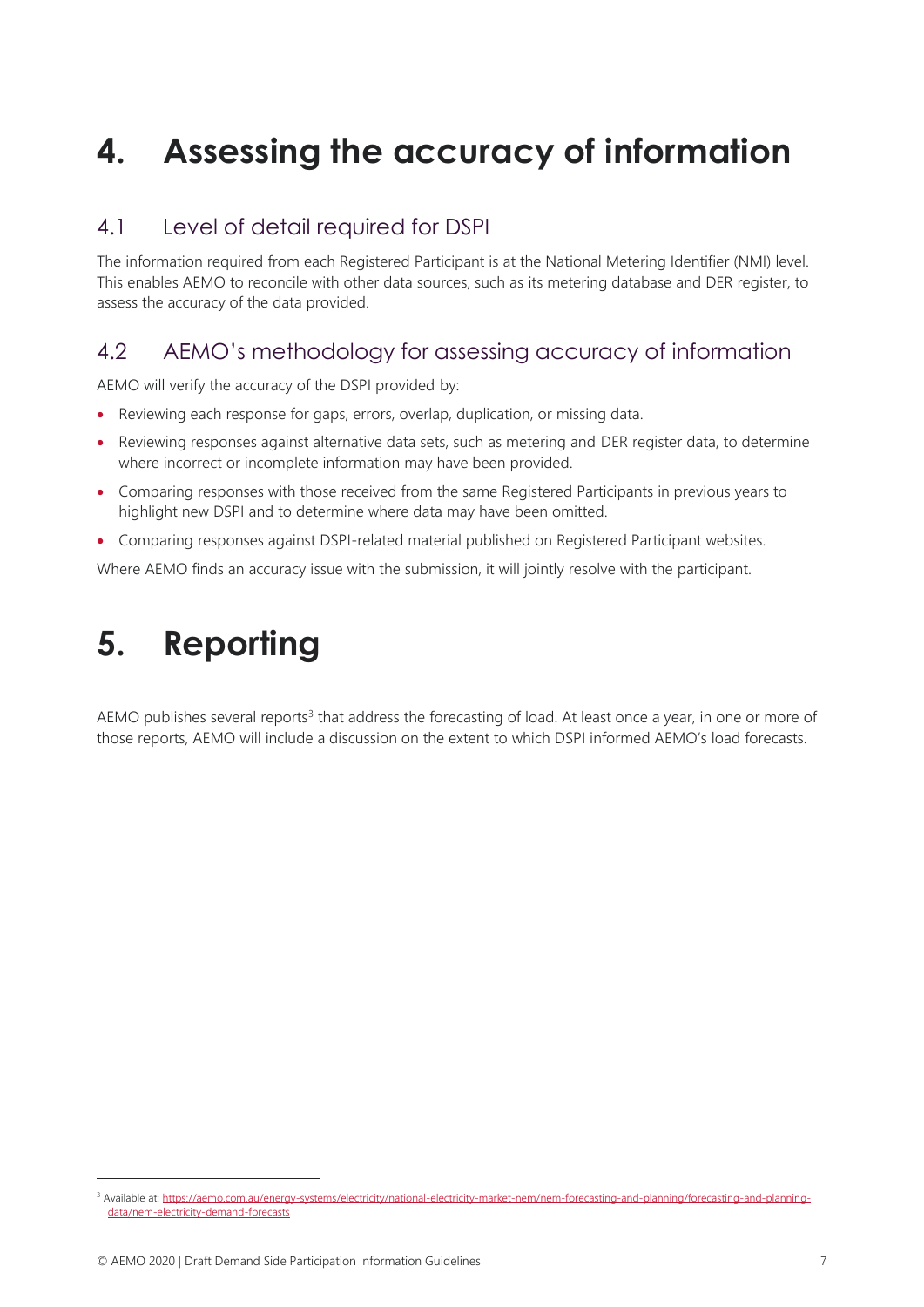# <span id="page-6-0"></span>**4. Assessing the accuracy of information**

## <span id="page-6-1"></span>4.1 Level of detail required for DSPI

The information required from each Registered Participant is at the National Metering Identifier (NMI) level. This enables AEMO to reconcile with other data sources, such as its metering database and DER register, to assess the accuracy of the data provided.

# <span id="page-6-2"></span>4.2 AEMO's methodology for assessing accuracy of information

AEMO will verify the accuracy of the DSPI provided by:

- Reviewing each response for gaps, errors, overlap, duplication, or missing data.
- Reviewing responses against alternative data sets, such as metering and DER register data, to determine where incorrect or incomplete information may have been provided.
- Comparing responses with those received from the same Registered Participants in previous years to highlight new DSPI and to determine where data may have been omitted.
- Comparing responses against DSPI-related material published on Registered Participant websites.

<span id="page-6-3"></span>Where AEMO finds an accuracy issue with the submission, it will jointly resolve with the participant.

# **5. Reporting**

AEMO publishes several reports<sup>3</sup> that address the forecasting of load. At least once a year, in one or more of those reports, AEMO will include a discussion on the extent to which DSPI informed AEMO's load forecasts.

<sup>&</sup>lt;sup>3</sup> Available at: [https://aemo.com.au/energy-systems/electricity/national-electricity-market-nem/nem-forecasting-and-planning/forecasting-and-planning](https://aemo.com.au/energy-systems/electricity/national-electricity-market-nem/nem-forecasting-and-planning/forecasting-and-planning-data/nem-electricity-demand-forecasts)[data/nem-electricity-demand-forecasts](https://aemo.com.au/energy-systems/electricity/national-electricity-market-nem/nem-forecasting-and-planning/forecasting-and-planning-data/nem-electricity-demand-forecasts)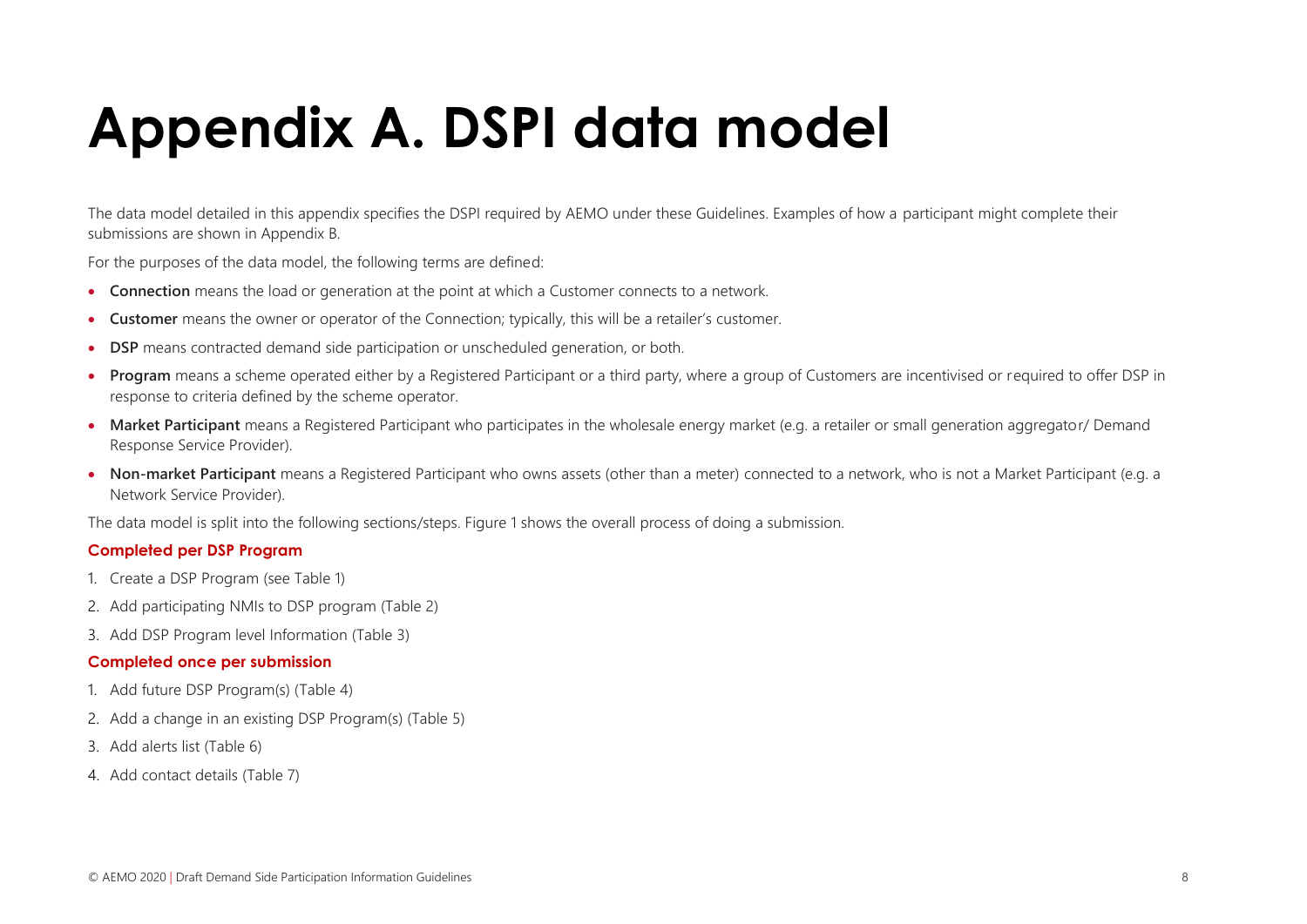# **Appendix A. DSPI data model**

The data model detailed in this appendix specifies the DSPI required by AEMO under these Guidelines. Examples of how a participant might complete their submissions are shown in Appendix B.

For the purposes of the data model, the following terms are defined:

- **Connection** means the load or generation at the point at which a Customer connects to a network.
- **Customer** means the owner or operator of the Connection; typically, this will be a retailer's customer.
- **DSP** means contracted demand side participation or unscheduled generation, or both.
- **Program** means a scheme operated either by a Registered Participant or a third party, where a group of Customers are incentivised or required to offer DSP in response to criteria defined by the scheme operator.
- **Market Participant** means a Registered Participant who participates in the wholesale energy market (e.g. a retailer or small generation aggregator/ Demand Response Service Provider).
- <span id="page-7-0"></span>• **Non-market Participant** means a Registered Participant who owns assets (other than a meter) connected to a network, who is not a Market Participant (e.g. a Network Service Provider).

The data model is split into the following sections/steps. Figure 1 shows the overall process of doing a submission.

#### **Completed per DSP Program**

- 1. Create a DSP Program (see [Table 1\)](#page-8-0)
- 2. Add participating NMIs to DSP program [\(Table 2\)](#page-9-0)
- 3. Add DSP Program level Information [\(Table 3\)](#page-10-0)

#### **Completed once per submission**

- 1. Add future DSP Program(s) [\(Table 4\)](#page-17-0)
- 2. Add a change in an existing DSP Program(s) [\(Table 5\)](#page-18-0)
- 3. Add alerts list [\(Table 6\)](#page-19-0)
- 4. Add contact details [\(Table 7\)](#page-19-1)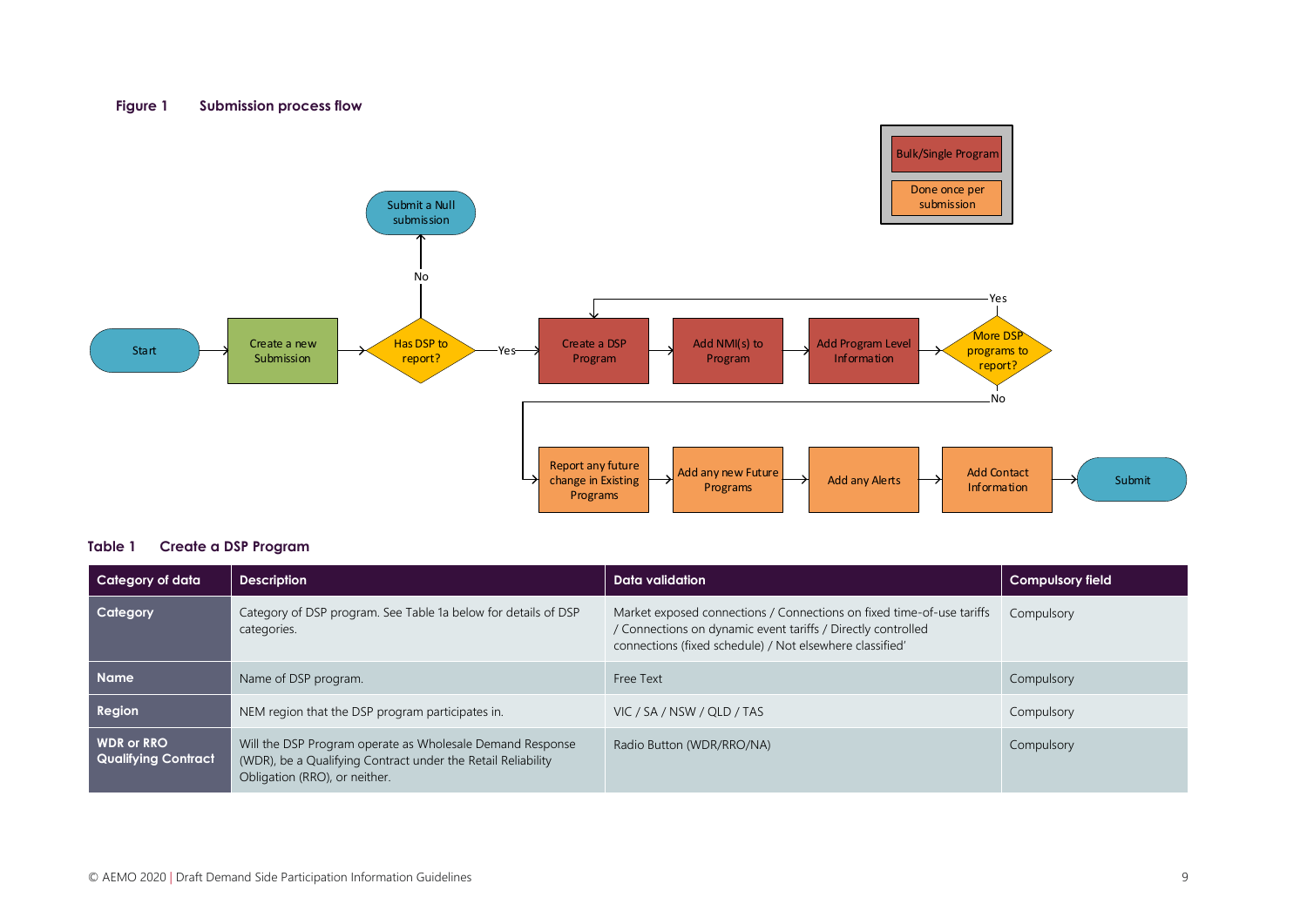#### **Figure 1 Submission process flow**



#### <span id="page-8-0"></span>**Table 1 Create a DSP Program**

| Category of data                                | <b>Description</b>                                                                                                                                         | Data validation                                                                                                                                                                                   | <b>Compulsory field</b> |
|-------------------------------------------------|------------------------------------------------------------------------------------------------------------------------------------------------------------|---------------------------------------------------------------------------------------------------------------------------------------------------------------------------------------------------|-------------------------|
| Category                                        | Category of DSP program. See Table 1a below for details of DSP<br>categories.                                                                              | Market exposed connections / Connections on fixed time-of-use tariffs<br>/ Connections on dynamic event tariffs / Directly controlled<br>connections (fixed schedule) / Not elsewhere classified' | Compulsory              |
| <b>Name</b>                                     | Name of DSP program.                                                                                                                                       | Free Text                                                                                                                                                                                         | Compulsory              |
| <b>Region</b>                                   | NEM region that the DSP program participates in.                                                                                                           | VIC / SA / NSW / QLD / TAS                                                                                                                                                                        | Compulsory              |
| <b>WDR or RRO</b><br><b>Qualifying Contract</b> | Will the DSP Program operate as Wholesale Demand Response<br>(WDR), be a Qualifying Contract under the Retail Reliability<br>Obligation (RRO), or neither. | Radio Button (WDR/RRO/NA)                                                                                                                                                                         | Compulsory              |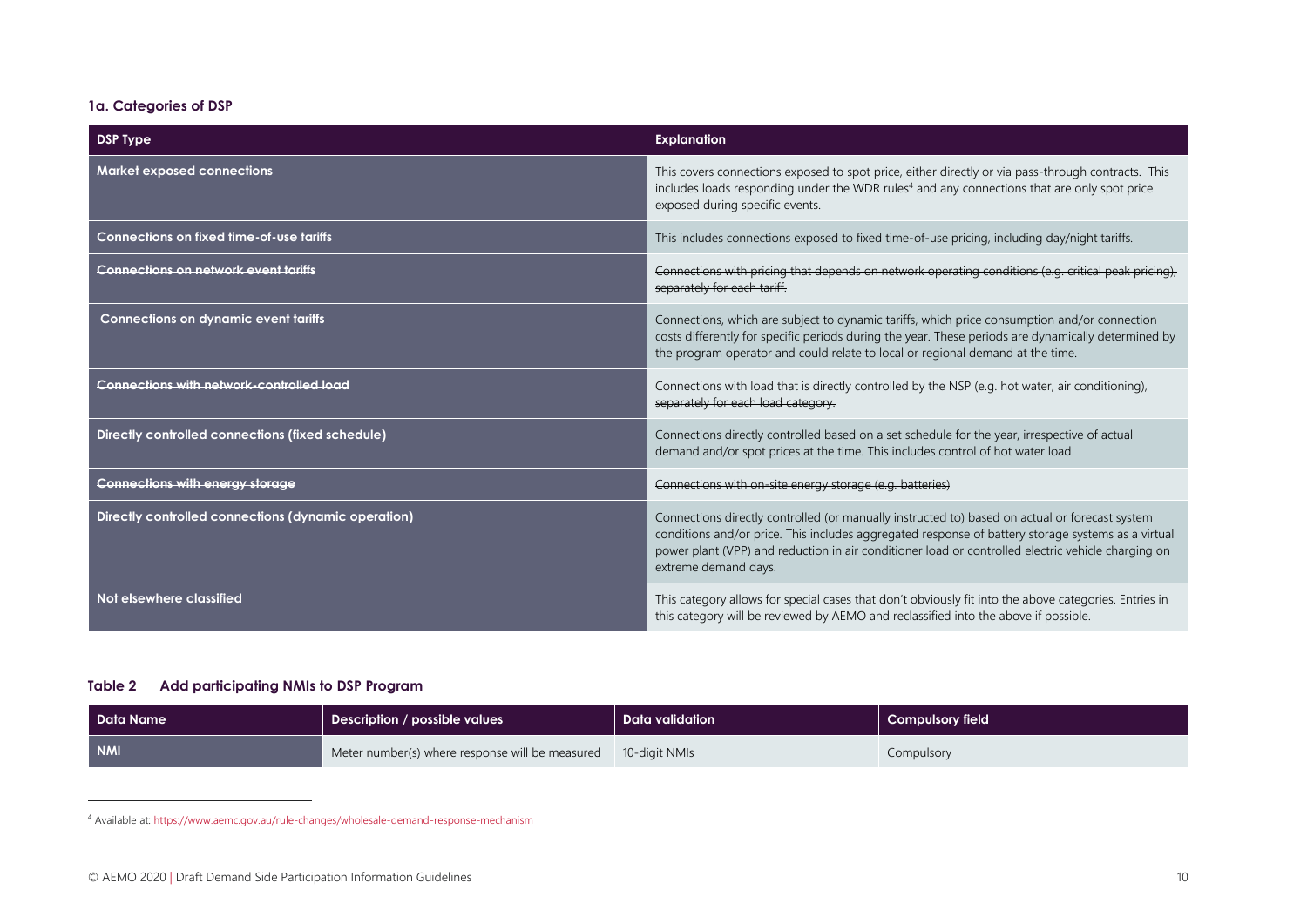#### **1a. Categories of DSP**

| <b>DSP Type</b>                                     | <b>Explanation</b>                                                                                                                                                                                                                                                                                                                 |
|-----------------------------------------------------|------------------------------------------------------------------------------------------------------------------------------------------------------------------------------------------------------------------------------------------------------------------------------------------------------------------------------------|
| <b>Market exposed connections</b>                   | This covers connections exposed to spot price, either directly or via pass-through contracts. This<br>includes loads responding under the WDR rules <sup>4</sup> and any connections that are only spot price<br>exposed during specific events.                                                                                   |
| Connections on fixed time-of-use tariffs            | This includes connections exposed to fixed time-of-use pricing, including day/night tariffs.                                                                                                                                                                                                                                       |
| <b>Connections on network event tariffs</b>         | Connections with pricing that depends on network operating conditions (e.g. critical peak pricing),<br>separately for each tariff.                                                                                                                                                                                                 |
| <b>Connections on dynamic event tariffs</b>         | Connections, which are subject to dynamic tariffs, which price consumption and/or connection<br>costs differently for specific periods during the year. These periods are dynamically determined by<br>the program operator and could relate to local or regional demand at the time.                                              |
| <b>Connections with network-controlled load</b>     | Connections with load that is directly controlled by the NSP (e.g. hot water, air conditioning),<br>separately for each load category.                                                                                                                                                                                             |
| Directly controlled connections (fixed schedule)    | Connections directly controlled based on a set schedule for the year, irrespective of actual<br>demand and/or spot prices at the time. This includes control of hot water load.                                                                                                                                                    |
| <b>Connections with energy storage</b>              | Connections with on-site energy storage (e.g. batteries)                                                                                                                                                                                                                                                                           |
| Directly controlled connections (dynamic operation) | Connections directly controlled (or manually instructed to) based on actual or forecast system<br>conditions and/or price. This includes aggregated response of battery storage systems as a virtual<br>power plant (VPP) and reduction in air conditioner load or controlled electric vehicle charging on<br>extreme demand days. |
| Not elsewhere classified                            | This category allows for special cases that don't obviously fit into the above categories. Entries in<br>this category will be reviewed by AEMO and reclassified into the above if possible.                                                                                                                                       |

#### <span id="page-9-0"></span>**Table 2 Add participating NMIs to DSP Program**

| Data Name  | <b>Description / possible values</b>            | Data validation | Compulsory field |
|------------|-------------------------------------------------|-----------------|------------------|
| <b>NMI</b> | Meter number(s) where response will be measured | 10-digit NMIs   | Compulsory       |

<sup>4</sup> Available at[: https://www.aemc.gov.au/rule-changes/wholesale-demand-response-mechanism](https://www.aemc.gov.au/rule-changes/wholesale-demand-response-mechanism)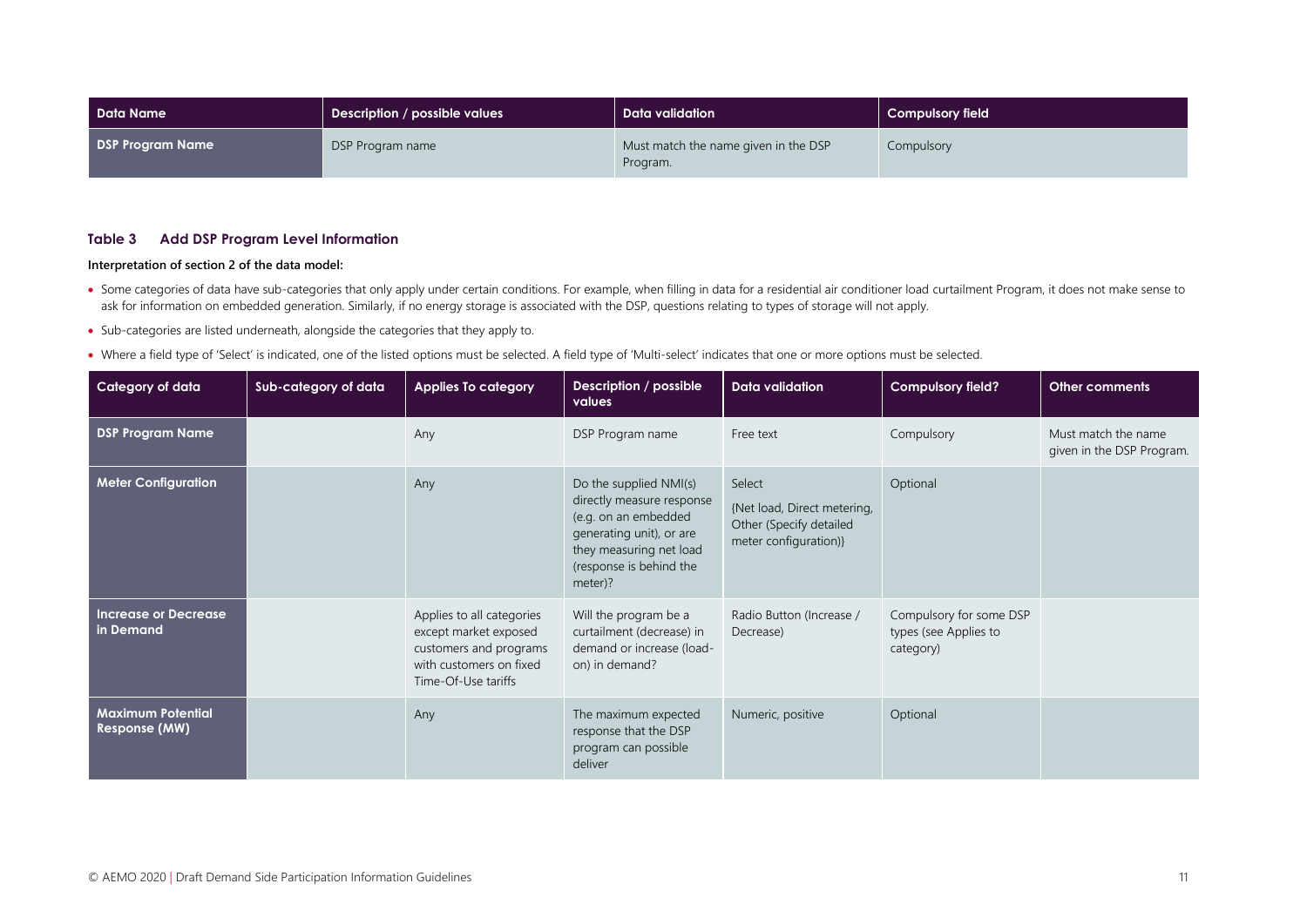| Data Name               | Description / possible values | Data validation                                  | <b>Compulsory field</b> |
|-------------------------|-------------------------------|--------------------------------------------------|-------------------------|
| <b>DSP Program Name</b> | DSP Program name              | Must match the name given in the DSP<br>Program. | Compulsory              |

#### <span id="page-10-0"></span>**Table 3 Add DSP Program Level Information**

#### **Interpretation of section 2 of the data model:**

- Some categories of data have sub-categories that only apply under certain conditions. For example, when filling in data for a residential air conditioner load curtailment Program, it does not make sense to ask for information on embedded generation. Similarly, if no energy storage is associated with the DSP, questions relating to types of storage will not apply.
- Sub-categories are listed underneath, alongside the categories that they apply to.
- Where a field type of 'Select' is indicated, one of the listed options must be selected. A field type of 'Multi-select' indicates that one or more options must be selected.

| Category of data                                 | Sub-category of data | <b>Applies To category</b>                                                                                                     | Description / possible<br>values                                                                                                                                         | Data validation                                                                           | <b>Compulsory field?</b>                                      | <b>Other comments</b>                            |
|--------------------------------------------------|----------------------|--------------------------------------------------------------------------------------------------------------------------------|--------------------------------------------------------------------------------------------------------------------------------------------------------------------------|-------------------------------------------------------------------------------------------|---------------------------------------------------------------|--------------------------------------------------|
| <b>DSP Program Name</b>                          |                      | Any                                                                                                                            | DSP Program name                                                                                                                                                         | Free text                                                                                 | Compulsory                                                    | Must match the name<br>given in the DSP Program. |
| <b>Meter Configuration</b>                       |                      | Any                                                                                                                            | Do the supplied NMI(s)<br>directly measure response<br>(e.g. on an embedded<br>generating unit), or are<br>they measuring net load<br>(response is behind the<br>meter)? | Select<br>{Net load, Direct metering,<br>Other (Specify detailed<br>meter configuration)} | Optional                                                      |                                                  |
| <b>Increase or Decrease</b><br>in Demand         |                      | Applies to all categories<br>except market exposed<br>customers and programs<br>with customers on fixed<br>Time-Of-Use tariffs | Will the program be a<br>curtailment (decrease) in<br>demand or increase (load-<br>on) in demand?                                                                        | Radio Button (Increase /<br>Decrease)                                                     | Compulsory for some DSP<br>types (see Applies to<br>category) |                                                  |
| <b>Maximum Potential</b><br><b>Response (MW)</b> |                      | Any                                                                                                                            | The maximum expected<br>response that the DSP<br>program can possible<br>deliver                                                                                         | Numeric, positive                                                                         | Optional                                                      |                                                  |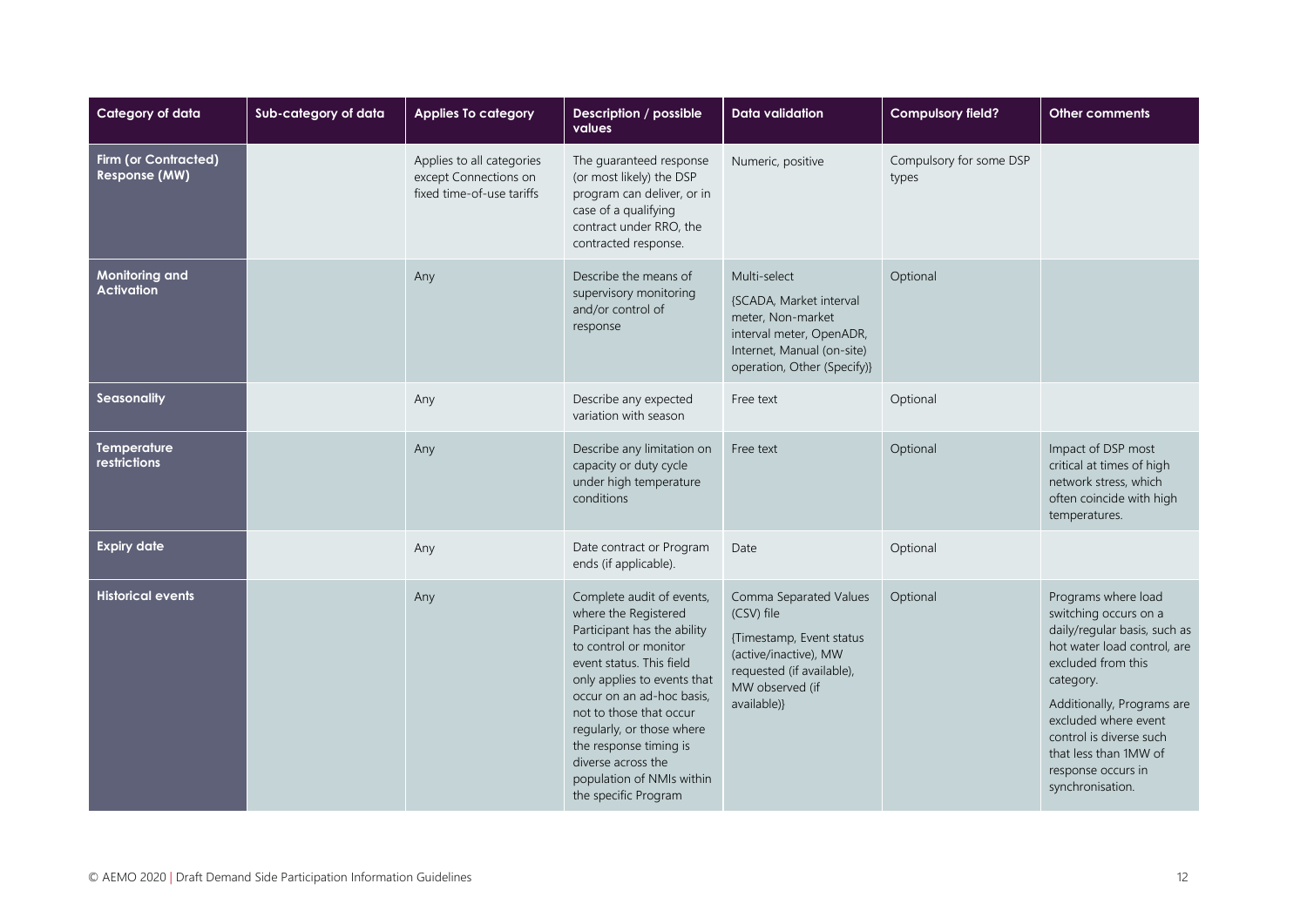| Category of data                             | Sub-category of data | <b>Applies To category</b>                                                      | Description / possible<br>values                                                                                                                                                                                                                                                                                                                               | <b>Data validation</b>                                                                                                                                   | <b>Compulsory field?</b>         | <b>Other comments</b>                                                                                                                                                                                                                                                                              |
|----------------------------------------------|----------------------|---------------------------------------------------------------------------------|----------------------------------------------------------------------------------------------------------------------------------------------------------------------------------------------------------------------------------------------------------------------------------------------------------------------------------------------------------------|----------------------------------------------------------------------------------------------------------------------------------------------------------|----------------------------------|----------------------------------------------------------------------------------------------------------------------------------------------------------------------------------------------------------------------------------------------------------------------------------------------------|
| <b>Firm (or Contracted)</b><br>Response (MW) |                      | Applies to all categories<br>except Connections on<br>fixed time-of-use tariffs | The quaranteed response<br>(or most likely) the DSP<br>program can deliver, or in<br>case of a qualifying<br>contract under RRO, the<br>contracted response.                                                                                                                                                                                                   | Numeric, positive                                                                                                                                        | Compulsory for some DSP<br>types |                                                                                                                                                                                                                                                                                                    |
| Monitoring and<br><b>Activation</b>          |                      | Any                                                                             | Describe the means of<br>supervisory monitoring<br>and/or control of<br>response                                                                                                                                                                                                                                                                               | Multi-select<br>{SCADA, Market interval<br>meter, Non-market<br>interval meter, OpenADR,<br>Internet, Manual (on-site)<br>operation, Other (Specify)}    | Optional                         |                                                                                                                                                                                                                                                                                                    |
| Seasonality                                  |                      | Any                                                                             | Describe any expected<br>variation with season                                                                                                                                                                                                                                                                                                                 | Free text                                                                                                                                                | Optional                         |                                                                                                                                                                                                                                                                                                    |
| <b>Temperature</b><br>restrictions           |                      | Any                                                                             | Describe any limitation on<br>capacity or duty cycle<br>under high temperature<br>conditions                                                                                                                                                                                                                                                                   | Free text                                                                                                                                                | Optional                         | Impact of DSP most<br>critical at times of high<br>network stress, which<br>often coincide with high<br>temperatures.                                                                                                                                                                              |
| <b>Expiry date</b>                           |                      | Any                                                                             | Date contract or Program<br>ends (if applicable).                                                                                                                                                                                                                                                                                                              | Date                                                                                                                                                     | Optional                         |                                                                                                                                                                                                                                                                                                    |
| <b>Historical events</b>                     |                      | Any                                                                             | Complete audit of events,<br>where the Registered<br>Participant has the ability<br>to control or monitor<br>event status. This field<br>only applies to events that<br>occur on an ad-hoc basis,<br>not to those that occur<br>regularly, or those where<br>the response timing is<br>diverse across the<br>population of NMIs within<br>the specific Program | Comma Separated Values<br>(CSV) file<br>{Timestamp, Event status<br>(active/inactive), MW<br>requested (if available),<br>MW observed (if<br>available)} | Optional                         | Programs where load<br>switching occurs on a<br>daily/regular basis, such as<br>hot water load control, are<br>excluded from this<br>category.<br>Additionally, Programs are<br>excluded where event<br>control is diverse such<br>that less than 1MW of<br>response occurs in<br>synchronisation. |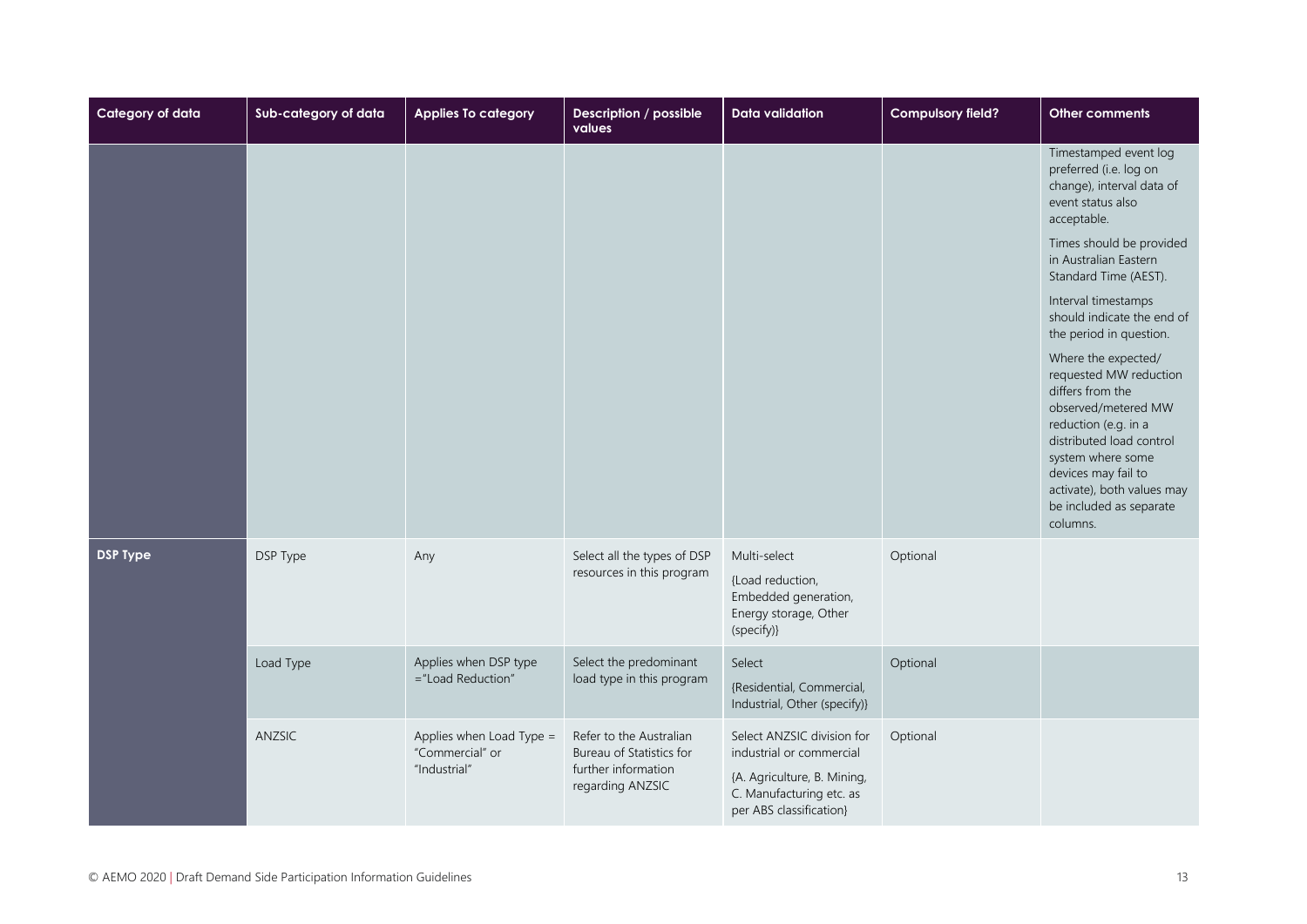| Category of data | Sub-category of data | <b>Applies To category</b>                                  | Description / possible<br>values                                                               | <b>Data validation</b>                                                                                                                       | <b>Compulsory field?</b> | Other comments                                                                                                                                                                                                                                                                                                                                                                                                                                                                                                                                  |
|------------------|----------------------|-------------------------------------------------------------|------------------------------------------------------------------------------------------------|----------------------------------------------------------------------------------------------------------------------------------------------|--------------------------|-------------------------------------------------------------------------------------------------------------------------------------------------------------------------------------------------------------------------------------------------------------------------------------------------------------------------------------------------------------------------------------------------------------------------------------------------------------------------------------------------------------------------------------------------|
|                  |                      |                                                             |                                                                                                |                                                                                                                                              |                          | Timestamped event log<br>preferred (i.e. log on<br>change), interval data of<br>event status also<br>acceptable.<br>Times should be provided<br>in Australian Eastern<br>Standard Time (AEST).<br>Interval timestamps<br>should indicate the end of<br>the period in question.<br>Where the expected/<br>requested MW reduction<br>differs from the<br>observed/metered MW<br>reduction (e.g. in a<br>distributed load control<br>system where some<br>devices may fail to<br>activate), both values may<br>be included as separate<br>columns. |
| <b>DSP Type</b>  | DSP Type             | Any                                                         | Select all the types of DSP<br>resources in this program                                       | Multi-select<br>{Load reduction,<br>Embedded generation,<br>Energy storage, Other<br>(specify)}                                              | Optional                 |                                                                                                                                                                                                                                                                                                                                                                                                                                                                                                                                                 |
|                  | Load Type            | Applies when DSP type<br>="Load Reduction"                  | Select the predominant<br>load type in this program                                            | Select<br>{Residential, Commercial,<br>Industrial, Other (specify)}                                                                          | Optional                 |                                                                                                                                                                                                                                                                                                                                                                                                                                                                                                                                                 |
|                  | ANZSIC               | Applies when Load Type =<br>"Commercial" or<br>"Industrial" | Refer to the Australian<br>Bureau of Statistics for<br>further information<br>regarding ANZSIC | Select ANZSIC division for<br>industrial or commercial<br>{A. Agriculture, B. Mining,<br>C. Manufacturing etc. as<br>per ABS classification} | Optional                 |                                                                                                                                                                                                                                                                                                                                                                                                                                                                                                                                                 |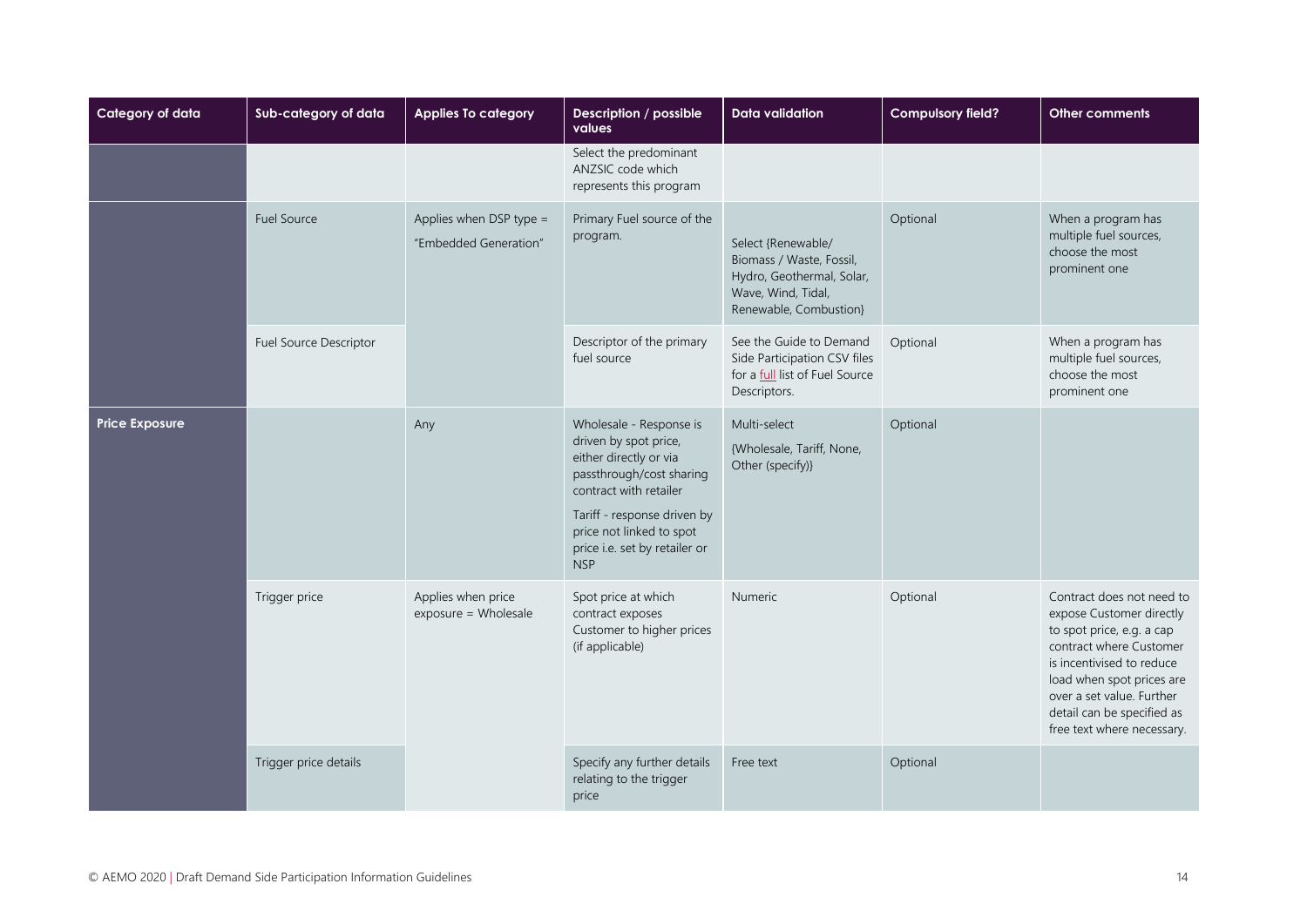| Category of data      | Sub-category of data   | <b>Applies To category</b>                       | Description / possible<br>values                                                                                                                                                                                                           | <b>Data validation</b>                                                                                                      | <b>Compulsory field?</b> | Other comments                                                                                                                                                                                                                                                   |
|-----------------------|------------------------|--------------------------------------------------|--------------------------------------------------------------------------------------------------------------------------------------------------------------------------------------------------------------------------------------------|-----------------------------------------------------------------------------------------------------------------------------|--------------------------|------------------------------------------------------------------------------------------------------------------------------------------------------------------------------------------------------------------------------------------------------------------|
|                       |                        |                                                  | Select the predominant<br>ANZSIC code which<br>represents this program                                                                                                                                                                     |                                                                                                                             |                          |                                                                                                                                                                                                                                                                  |
|                       | <b>Fuel Source</b>     | Applies when DSP type =<br>"Embedded Generation" | Primary Fuel source of the<br>program.                                                                                                                                                                                                     | Select {Renewable/<br>Biomass / Waste, Fossil,<br>Hydro, Geothermal, Solar,<br>Wave, Wind, Tidal,<br>Renewable, Combustion} | Optional                 | When a program has<br>multiple fuel sources,<br>choose the most<br>prominent one                                                                                                                                                                                 |
|                       | Fuel Source Descriptor |                                                  | Descriptor of the primary<br>fuel source                                                                                                                                                                                                   | See the Guide to Demand<br>Side Participation CSV files<br>for a full list of Fuel Source<br>Descriptors.                   | Optional                 | When a program has<br>multiple fuel sources,<br>choose the most<br>prominent one                                                                                                                                                                                 |
| <b>Price Exposure</b> |                        | Any                                              | Wholesale - Response is<br>driven by spot price,<br>either directly or via<br>passthrough/cost sharing<br>contract with retailer<br>Tariff - response driven by<br>price not linked to spot<br>price i.e. set by retailer or<br><b>NSP</b> | Multi-select<br>{Wholesale, Tariff, None,<br>Other (specify)}                                                               | Optional                 |                                                                                                                                                                                                                                                                  |
|                       | Trigger price          | Applies when price<br>exposure = Wholesale       | Spot price at which<br>contract exposes<br>Customer to higher prices<br>(if applicable)                                                                                                                                                    | <b>Numeric</b>                                                                                                              | Optional                 | Contract does not need to<br>expose Customer directly<br>to spot price, e.g. a cap<br>contract where Customer<br>is incentivised to reduce<br>load when spot prices are<br>over a set value. Further<br>detail can be specified as<br>free text where necessary. |
|                       | Trigger price details  |                                                  | Specify any further details<br>relating to the trigger<br>price                                                                                                                                                                            | Free text                                                                                                                   | Optional                 |                                                                                                                                                                                                                                                                  |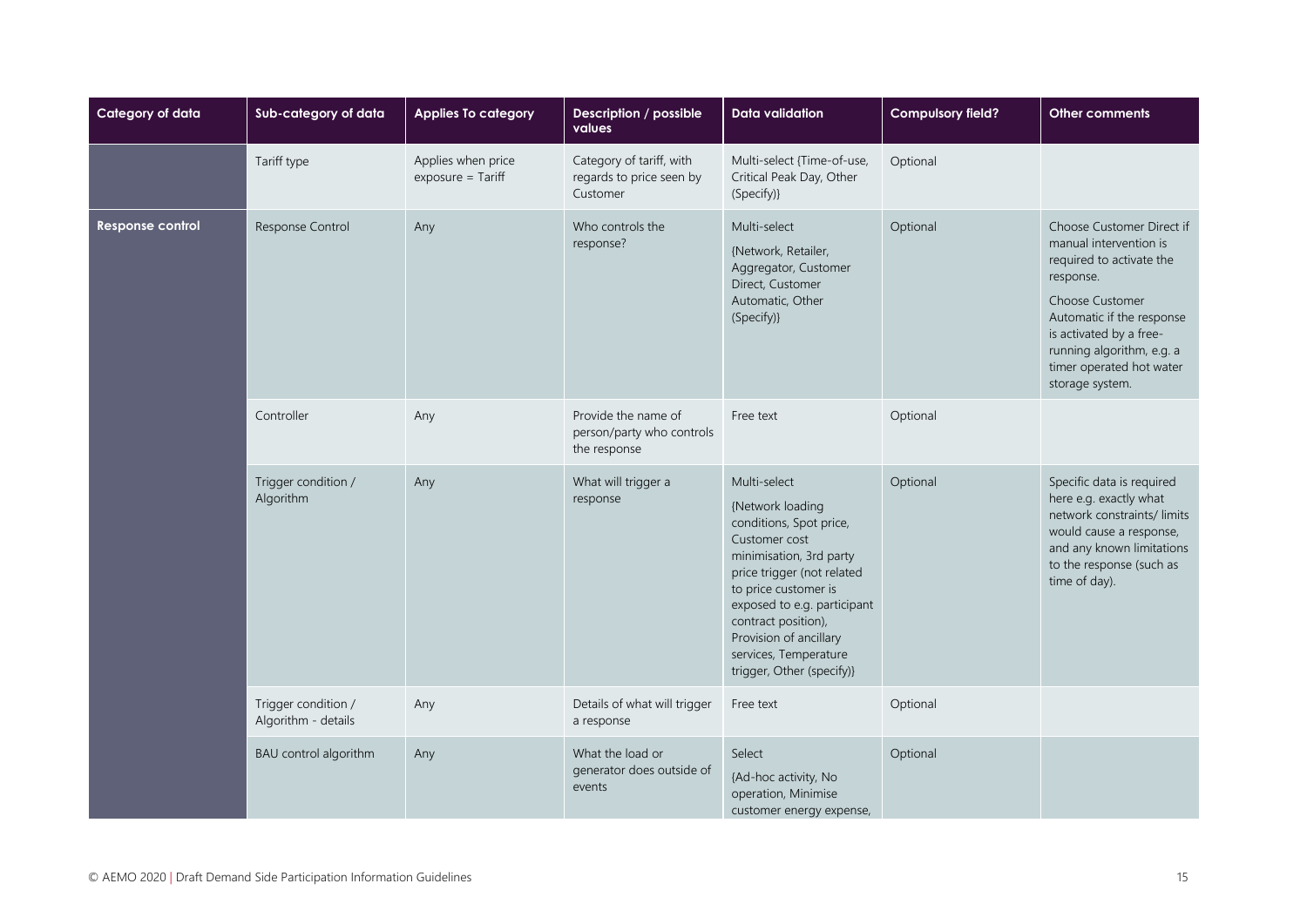| Category of data | Sub-category of data                       | <b>Applies To category</b>                | Description / possible<br>values                                 | <b>Data validation</b>                                                                                                                                                                                                                                                                              | <b>Compulsory field?</b> | Other comments                                                                                                                                                                                                                                      |
|------------------|--------------------------------------------|-------------------------------------------|------------------------------------------------------------------|-----------------------------------------------------------------------------------------------------------------------------------------------------------------------------------------------------------------------------------------------------------------------------------------------------|--------------------------|-----------------------------------------------------------------------------------------------------------------------------------------------------------------------------------------------------------------------------------------------------|
|                  | Tariff type                                | Applies when price<br>$exposure = Tariff$ | Category of tariff, with<br>regards to price seen by<br>Customer | Multi-select {Time-of-use,<br>Critical Peak Day, Other<br>(Specify)}                                                                                                                                                                                                                                | Optional                 |                                                                                                                                                                                                                                                     |
| Response control | Response Control                           | Any                                       | Who controls the<br>response?                                    | Multi-select<br>{Network, Retailer,<br>Aggregator, Customer<br>Direct, Customer<br>Automatic, Other<br>(Specify)}                                                                                                                                                                                   | Optional                 | Choose Customer Direct if<br>manual intervention is<br>required to activate the<br>response.<br>Choose Customer<br>Automatic if the response<br>is activated by a free-<br>running algorithm, e.g. a<br>timer operated hot water<br>storage system. |
|                  | Controller                                 | Any                                       | Provide the name of<br>person/party who controls<br>the response | Free text                                                                                                                                                                                                                                                                                           | Optional                 |                                                                                                                                                                                                                                                     |
|                  | Trigger condition /<br>Algorithm           | Any                                       | What will trigger a<br>response                                  | Multi-select<br>{Network loading<br>conditions, Spot price,<br>Customer cost<br>minimisation, 3rd party<br>price trigger (not related<br>to price customer is<br>exposed to e.g. participant<br>contract position),<br>Provision of ancillary<br>services, Temperature<br>trigger, Other (specify)} | Optional                 | Specific data is required<br>here e.g. exactly what<br>network constraints/limits<br>would cause a response,<br>and any known limitations<br>to the response (such as<br>time of day).                                                              |
|                  | Trigger condition /<br>Algorithm - details | Any                                       | Details of what will trigger<br>a response                       | Free text                                                                                                                                                                                                                                                                                           | Optional                 |                                                                                                                                                                                                                                                     |
|                  | BAU control algorithm                      | Any                                       | What the load or<br>generator does outside of<br>events          | Select<br>{Ad-hoc activity, No<br>operation, Minimise<br>customer energy expense,                                                                                                                                                                                                                   | Optional                 |                                                                                                                                                                                                                                                     |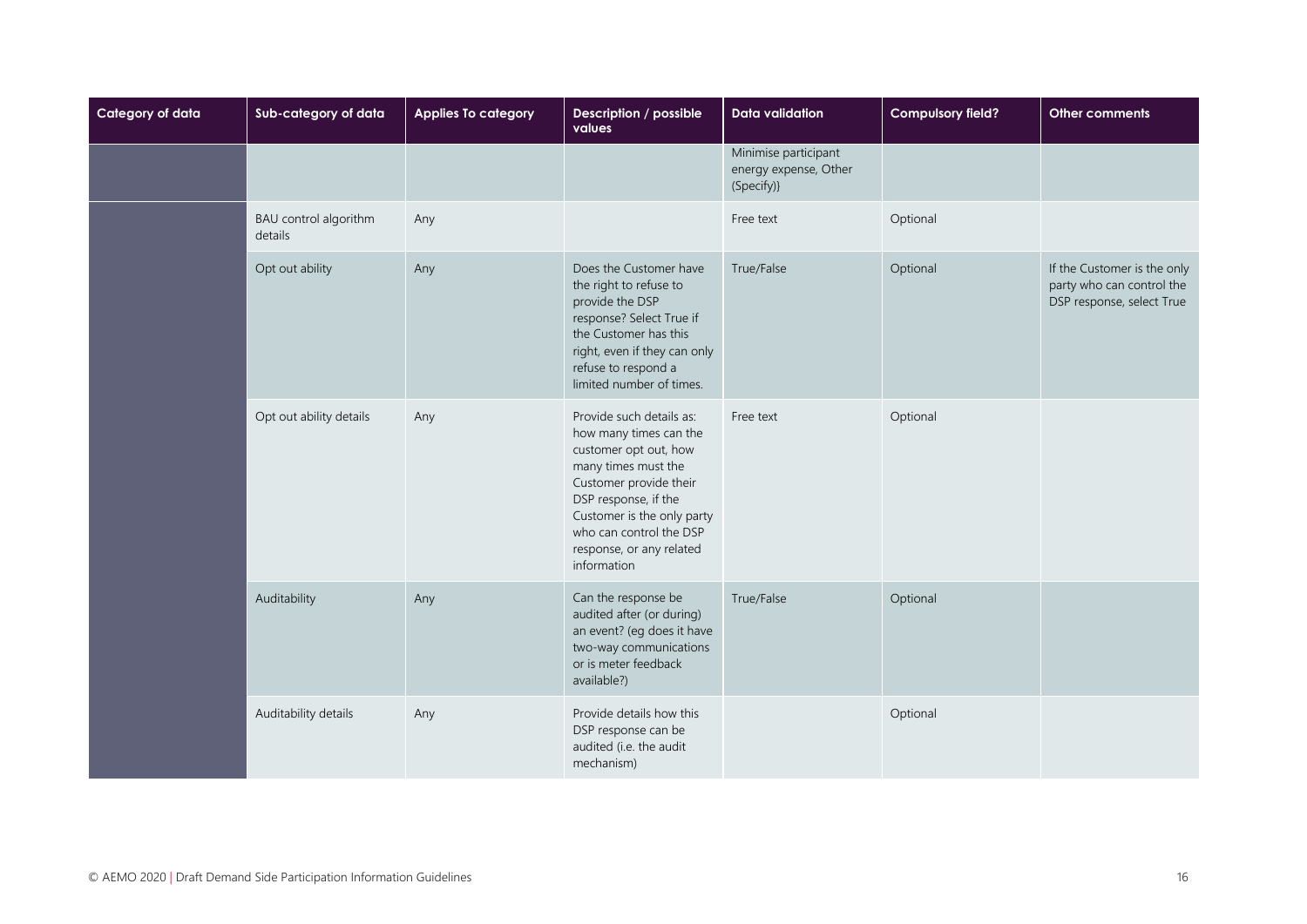| Category of data | Sub-category of data             | <b>Applies To category</b> | Description / possible<br>values                                                                                                                                                                                                                         | <b>Data validation</b>                                      | <b>Compulsory field?</b> | Other comments                                                                        |
|------------------|----------------------------------|----------------------------|----------------------------------------------------------------------------------------------------------------------------------------------------------------------------------------------------------------------------------------------------------|-------------------------------------------------------------|--------------------------|---------------------------------------------------------------------------------------|
|                  |                                  |                            |                                                                                                                                                                                                                                                          | Minimise participant<br>energy expense, Other<br>(Specify)} |                          |                                                                                       |
|                  | BAU control algorithm<br>details | Any                        |                                                                                                                                                                                                                                                          | Free text                                                   | Optional                 |                                                                                       |
|                  | Opt out ability                  | Any                        | Does the Customer have<br>the right to refuse to<br>provide the DSP<br>response? Select True if<br>the Customer has this<br>right, even if they can only<br>refuse to respond a<br>limited number of times.                                              | True/False                                                  | Optional                 | If the Customer is the only<br>party who can control the<br>DSP response, select True |
|                  | Opt out ability details          | Any                        | Provide such details as:<br>how many times can the<br>customer opt out, how<br>many times must the<br>Customer provide their<br>DSP response, if the<br>Customer is the only party<br>who can control the DSP<br>response, or any related<br>information | Free text                                                   | Optional                 |                                                                                       |
|                  | Auditability                     | Any                        | Can the response be<br>audited after (or during)<br>an event? (eg does it have<br>two-way communications<br>or is meter feedback<br>available?)                                                                                                          | True/False                                                  | Optional                 |                                                                                       |
|                  | Auditability details             | Any                        | Provide details how this<br>DSP response can be<br>audited (i.e. the audit<br>mechanism)                                                                                                                                                                 |                                                             | Optional                 |                                                                                       |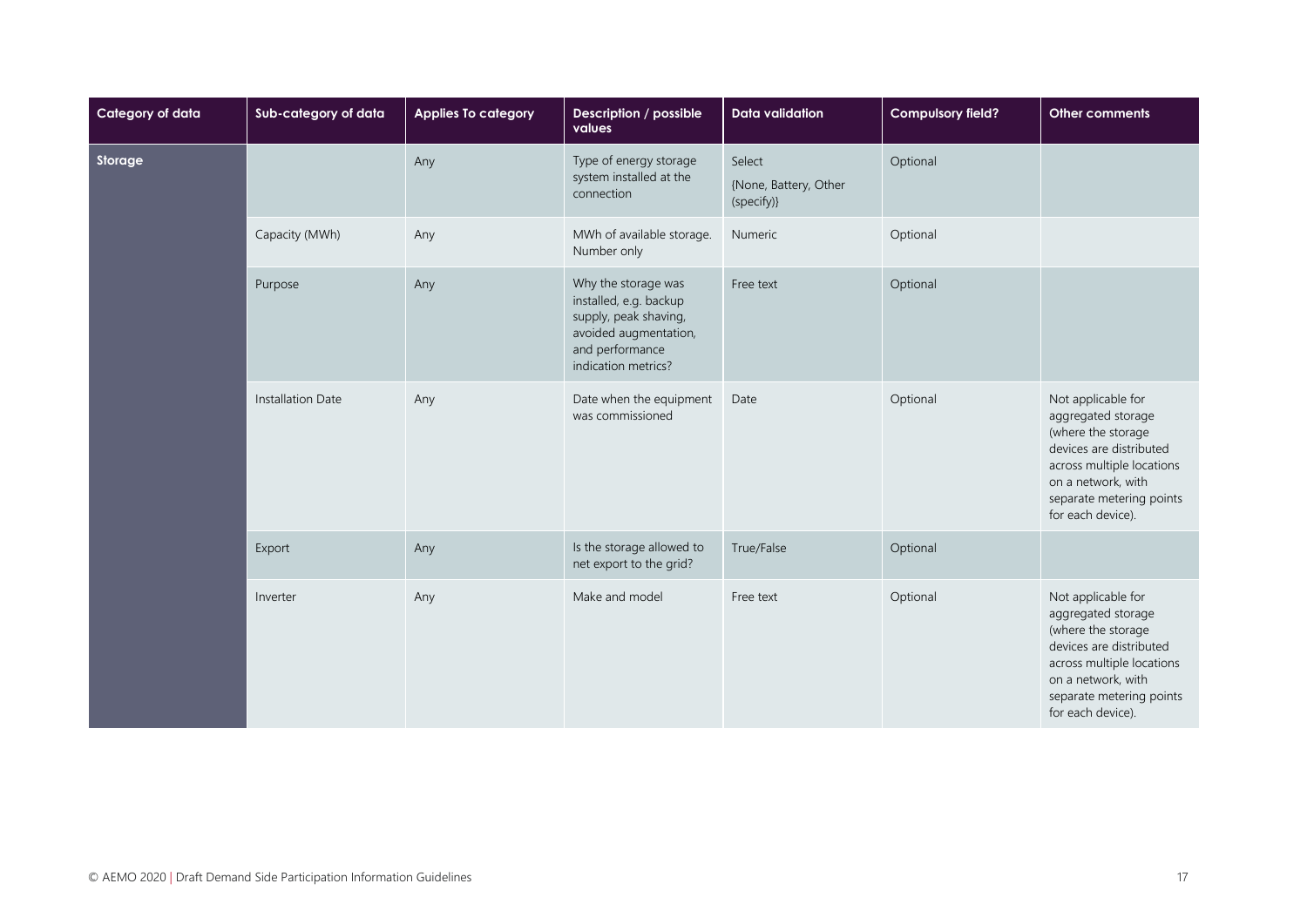| Category of data | Sub-category of data | <b>Applies To category</b> | Description / possible<br>values                                                                                                          | <b>Data validation</b>                        | <b>Compulsory field?</b> | <b>Other comments</b>                                                                                                                                                                         |
|------------------|----------------------|----------------------------|-------------------------------------------------------------------------------------------------------------------------------------------|-----------------------------------------------|--------------------------|-----------------------------------------------------------------------------------------------------------------------------------------------------------------------------------------------|
| Storage          |                      | Any                        | Type of energy storage<br>system installed at the<br>connection                                                                           | Select<br>{None, Battery, Other<br>(specify)} | Optional                 |                                                                                                                                                                                               |
|                  | Capacity (MWh)       | Any                        | MWh of available storage.<br>Number only                                                                                                  | Numeric                                       | Optional                 |                                                                                                                                                                                               |
|                  | Purpose              | Any                        | Why the storage was<br>installed, e.g. backup<br>supply, peak shaving,<br>avoided augmentation,<br>and performance<br>indication metrics? | Free text                                     | Optional                 |                                                                                                                                                                                               |
|                  | Installation Date    | Any                        | Date when the equipment<br>was commissioned                                                                                               | Date                                          | Optional                 | Not applicable for<br>aggregated storage<br>(where the storage<br>devices are distributed<br>across multiple locations<br>on a network, with<br>separate metering points<br>for each device). |
|                  | Export               | Any                        | Is the storage allowed to<br>net export to the grid?                                                                                      | True/False                                    | Optional                 |                                                                                                                                                                                               |
|                  | Inverter             | Any                        | Make and model                                                                                                                            | Free text                                     | Optional                 | Not applicable for<br>aggregated storage<br>(where the storage<br>devices are distributed<br>across multiple locations<br>on a network, with<br>separate metering points<br>for each device). |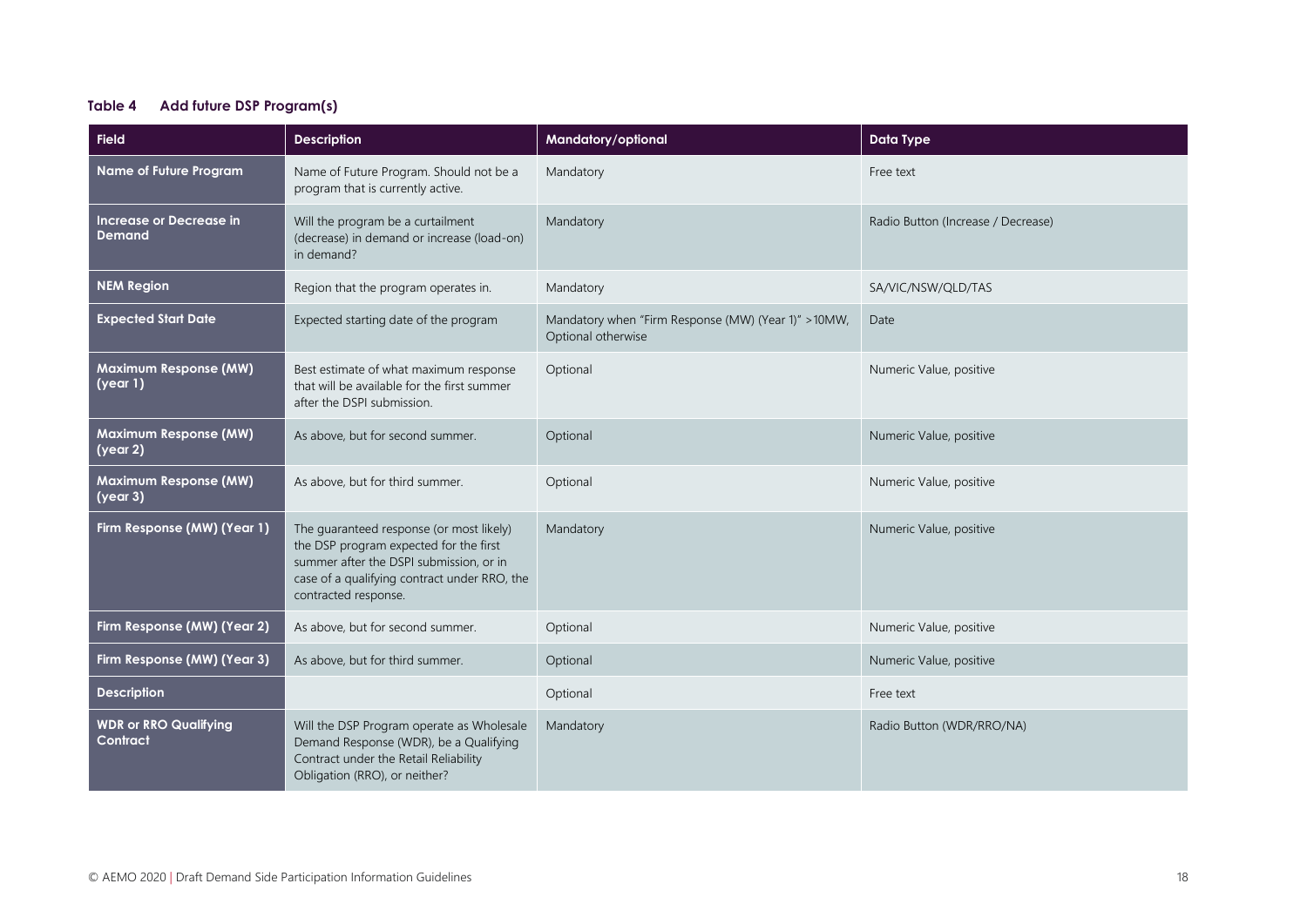#### <span id="page-17-0"></span>**Table 4 Add future DSP Program(s)**

| <b>Field</b>                                                   | <b>Description</b>                                                                                                                                                                                    | Mandatory/optional                                                         | <b>Data Type</b>                   |
|----------------------------------------------------------------|-------------------------------------------------------------------------------------------------------------------------------------------------------------------------------------------------------|----------------------------------------------------------------------------|------------------------------------|
| Name of Future Program                                         | Name of Future Program. Should not be a<br>program that is currently active.                                                                                                                          | Mandatory                                                                  | Free text                          |
| Increase or Decrease in<br><b>Demand</b>                       | Will the program be a curtailment<br>(decrease) in demand or increase (load-on)<br>in demand?                                                                                                         | Mandatory                                                                  | Radio Button (Increase / Decrease) |
| <b>NEM Region</b>                                              | Region that the program operates in.                                                                                                                                                                  | Mandatory                                                                  | SA/VIC/NSW/QLD/TAS                 |
| <b>Expected Start Date</b>                                     | Expected starting date of the program                                                                                                                                                                 | Mandatory when "Firm Response (MW) (Year 1)" > 10MW,<br>Optional otherwise | Date                               |
| <b>Maximum Response (MW)</b><br>$\sqrt{(\gamma e \alpha r)}$   | Best estimate of what maximum response<br>that will be available for the first summer<br>after the DSPI submission.                                                                                   | Optional                                                                   | Numeric Value, positive            |
| <b>Maximum Response (MW)</b><br>$\sqrt{(\gamma e \alpha r^2)}$ | As above, but for second summer.                                                                                                                                                                      | Optional                                                                   | Numeric Value, positive            |
| <b>Maximum Response (MW)</b><br>$\sqrt{(\gamma e \alpha r/3)}$ | As above, but for third summer.                                                                                                                                                                       | Optional                                                                   | Numeric Value, positive            |
| Firm Response (MW) (Year 1)                                    | The quaranteed response (or most likely)<br>the DSP program expected for the first<br>summer after the DSPI submission, or in<br>case of a qualifying contract under RRO, the<br>contracted response. | Mandatory                                                                  | Numeric Value, positive            |
| Firm Response (MW) (Year 2)                                    | As above, but for second summer.                                                                                                                                                                      | Optional                                                                   | Numeric Value, positive            |
| Firm Response (MW) (Year 3)                                    | As above, but for third summer.                                                                                                                                                                       | Optional                                                                   | Numeric Value, positive            |
| <b>Description</b>                                             |                                                                                                                                                                                                       | Optional                                                                   | Free text                          |
| <b>WDR or RRO Qualifying</b><br>Contract                       | Will the DSP Program operate as Wholesale<br>Demand Response (WDR), be a Qualifying<br>Contract under the Retail Reliability<br>Obligation (RRO), or neither?                                         | Mandatory                                                                  | Radio Button (WDR/RRO/NA)          |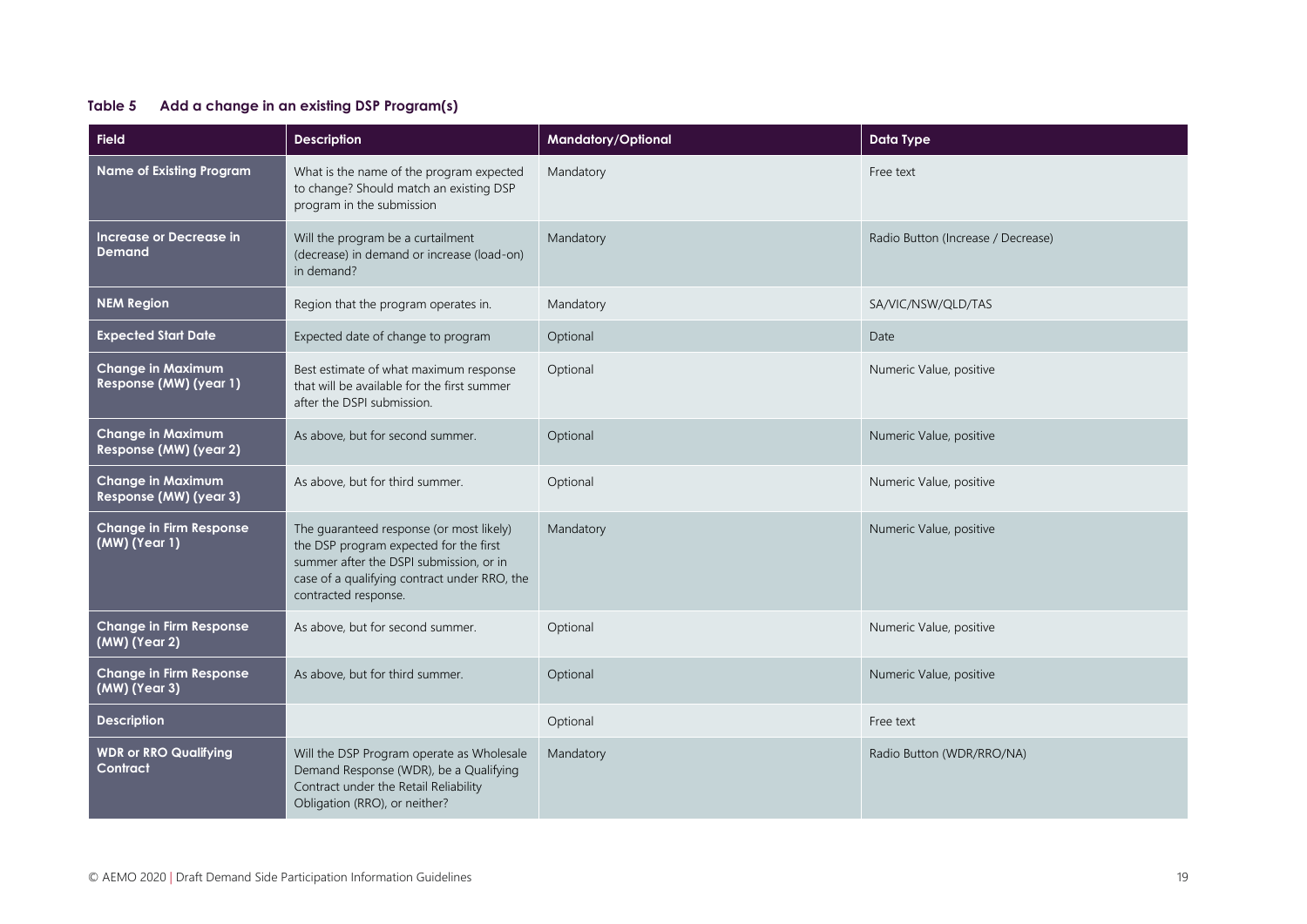#### <span id="page-18-0"></span>**Table 5 Add a change in an existing DSP Program(s)**

| <b>Field</b>                                       | <b>Description</b>                                                                                                                                                                                    | Mandatory/Optional | <b>Data Type</b>                   |
|----------------------------------------------------|-------------------------------------------------------------------------------------------------------------------------------------------------------------------------------------------------------|--------------------|------------------------------------|
| <b>Name of Existing Program</b>                    | What is the name of the program expected<br>to change? Should match an existing DSP<br>program in the submission                                                                                      | Mandatory          | Free text                          |
| Increase or Decrease in<br><b>Demand</b>           | Will the program be a curtailment<br>(decrease) in demand or increase (load-on)<br>in demand?                                                                                                         | Mandatory          | Radio Button (Increase / Decrease) |
| <b>NEM Region</b>                                  | Region that the program operates in.                                                                                                                                                                  | Mandatory          | SA/VIC/NSW/QLD/TAS                 |
| <b>Expected Start Date</b>                         | Expected date of change to program                                                                                                                                                                    | Optional           | Date                               |
| <b>Change in Maximum</b><br>Response (MW) (year 1) | Best estimate of what maximum response<br>that will be available for the first summer<br>after the DSPI submission.                                                                                   | Optional           | Numeric Value, positive            |
| <b>Change in Maximum</b><br>Response (MW) (year 2) | As above, but for second summer.                                                                                                                                                                      | Optional           | Numeric Value, positive            |
| <b>Change in Maximum</b><br>Response (MW) (year 3) | As above, but for third summer.                                                                                                                                                                       | Optional           | Numeric Value, positive            |
| Change in Firm Response<br>(MW) (Year 1)           | The guaranteed response (or most likely)<br>the DSP program expected for the first<br>summer after the DSPI submission, or in<br>case of a qualifying contract under RRO, the<br>contracted response. | Mandatory          | Numeric Value, positive            |
| <b>Change in Firm Response</b><br>(MW) (Year 2)    | As above, but for second summer.                                                                                                                                                                      | Optional           | Numeric Value, positive            |
| Change in Firm Response<br>(MW) (Year 3)           | As above, but for third summer.                                                                                                                                                                       | Optional           | Numeric Value, positive            |
| <b>Description</b>                                 |                                                                                                                                                                                                       | Optional           | Free text                          |
| <b>WDR or RRO Qualifying</b><br>Contract           | Will the DSP Program operate as Wholesale<br>Demand Response (WDR), be a Qualifying<br>Contract under the Retail Reliability<br>Obligation (RRO), or neither?                                         | Mandatory          | Radio Button (WDR/RRO/NA)          |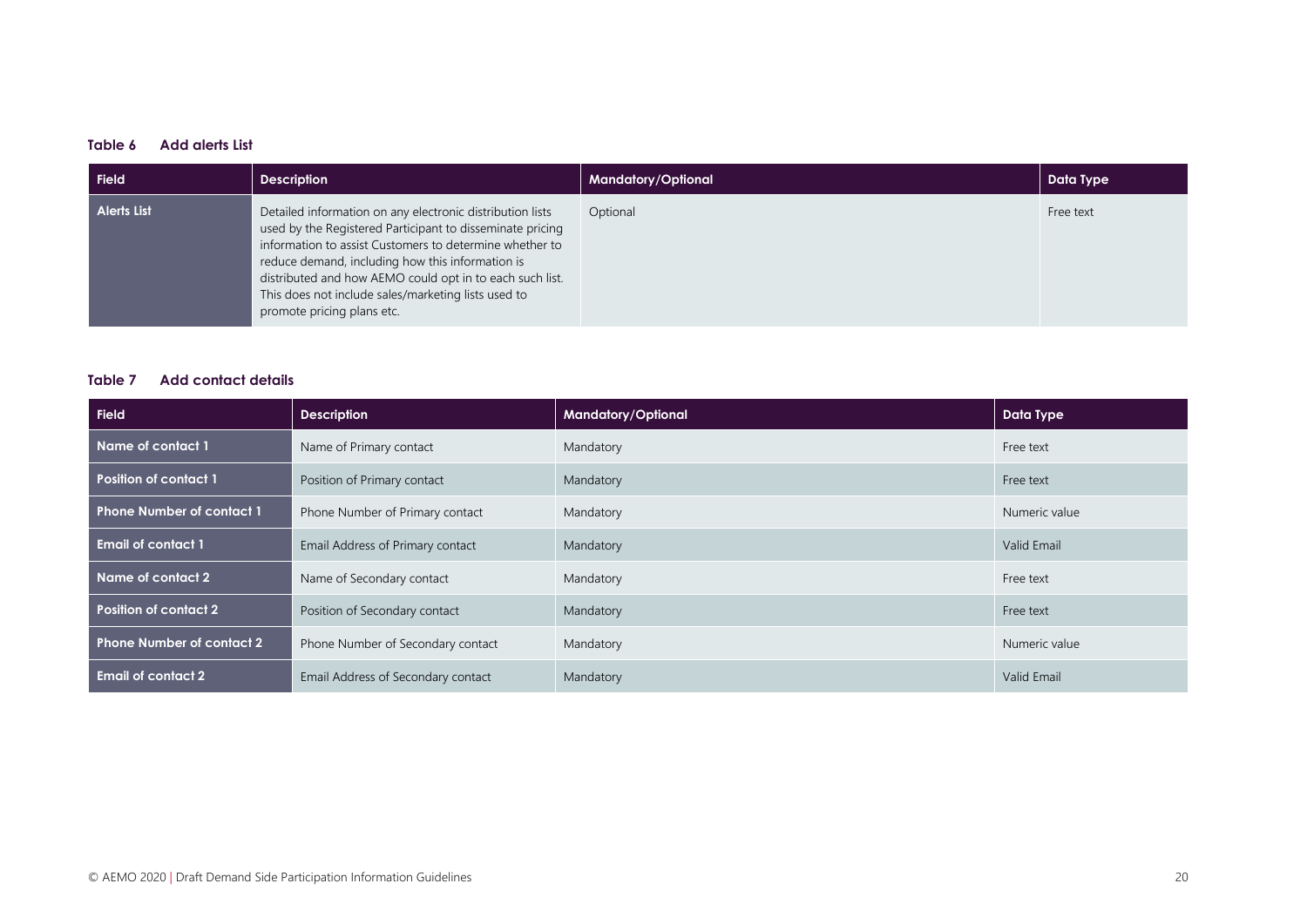#### <span id="page-19-0"></span>**Table 6 Add alerts List**

| Field              | <b>Description</b>                                                                                                                                                                                                                                                                                                                                                                     | <b>Mandatory/Optional</b> | Data Type |
|--------------------|----------------------------------------------------------------------------------------------------------------------------------------------------------------------------------------------------------------------------------------------------------------------------------------------------------------------------------------------------------------------------------------|---------------------------|-----------|
| <b>Alerts List</b> | Detailed information on any electronic distribution lists<br>used by the Registered Participant to disseminate pricing<br>information to assist Customers to determine whether to<br>reduce demand, including how this information is<br>distributed and how AEMO could opt in to each such list.<br>This does not include sales/marketing lists used to<br>promote pricing plans etc. | Optional                  | Free text |

#### <span id="page-19-1"></span>**Table 7 Add contact details**

| <b>Field</b>                     | <b>Description</b>                 | Mandatory/Optional | Data Type     |
|----------------------------------|------------------------------------|--------------------|---------------|
| Name of contact 1                | Name of Primary contact            | Mandatory          | Free text     |
| <b>Position of contact 1</b>     | Position of Primary contact        | Mandatory          | Free text     |
| <b>Phone Number of contact 1</b> | Phone Number of Primary contact    | Mandatory          | Numeric value |
| <b>Email of contact 1</b>        | Email Address of Primary contact   | Mandatory          | Valid Email   |
| Name of contact 2                | Name of Secondary contact          | Mandatory          | Free text     |
| <b>Position of contact 2</b>     | Position of Secondary contact      | Mandatory          | Free text     |
| <b>Phone Number of contact 2</b> | Phone Number of Secondary contact  | Mandatory          | Numeric value |
| <b>Email of contact 2</b>        | Email Address of Secondary contact | Mandatory          | Valid Email   |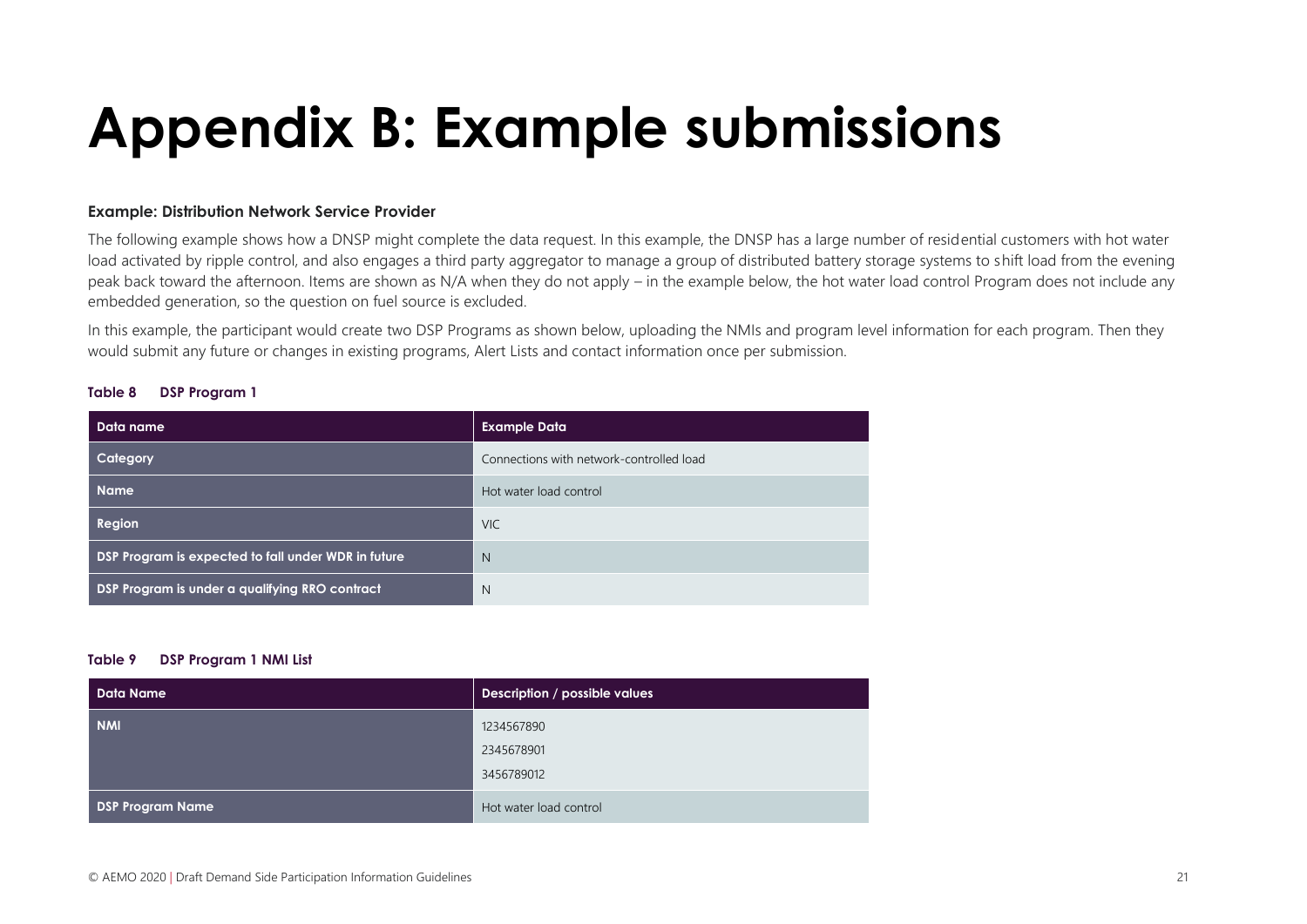# **Appendix B: Example submissions**

#### **Example: Distribution Network Service Provider**

The following example shows how a DNSP might complete the data request. In this example, the DNSP has a large number of residential customers with hot water load activated by ripple control, and also engages a third party aggregator to manage a group of distributed battery storage systems to shift load from the evening peak back toward the afternoon. Items are shown as N/A when they do not apply – in the example below, the hot water load control Program does not include any embedded generation, so the question on fuel source is excluded.

In this example, the participant would create two DSP Programs as shown below, uploading the NMIs and program level information for each program. Then they would submit any future or changes in existing programs, Alert Lists and contact information once per submission.

#### **Table 8 DSP Program 1**

<span id="page-20-0"></span>

| Data name                                           | <b>Example Data</b>                      |
|-----------------------------------------------------|------------------------------------------|
| Category                                            | Connections with network-controlled load |
| <b>Name</b>                                         | Hot water load control                   |
| Region                                              | <b>VIC</b>                               |
| DSP Program is expected to fall under WDR in future | $\mathbb N$                              |
| DSP Program is under a qualifying RRO contract      | $\mathbb N$                              |

#### **Table 9 DSP Program 1 NMI List**

| <b>Data Name</b>        | Description / possible values |
|-------------------------|-------------------------------|
| <b>NMI</b>              | 1234567890                    |
|                         | 2345678901                    |
|                         | 3456789012                    |
| <b>DSP Program Name</b> | Hot water load control        |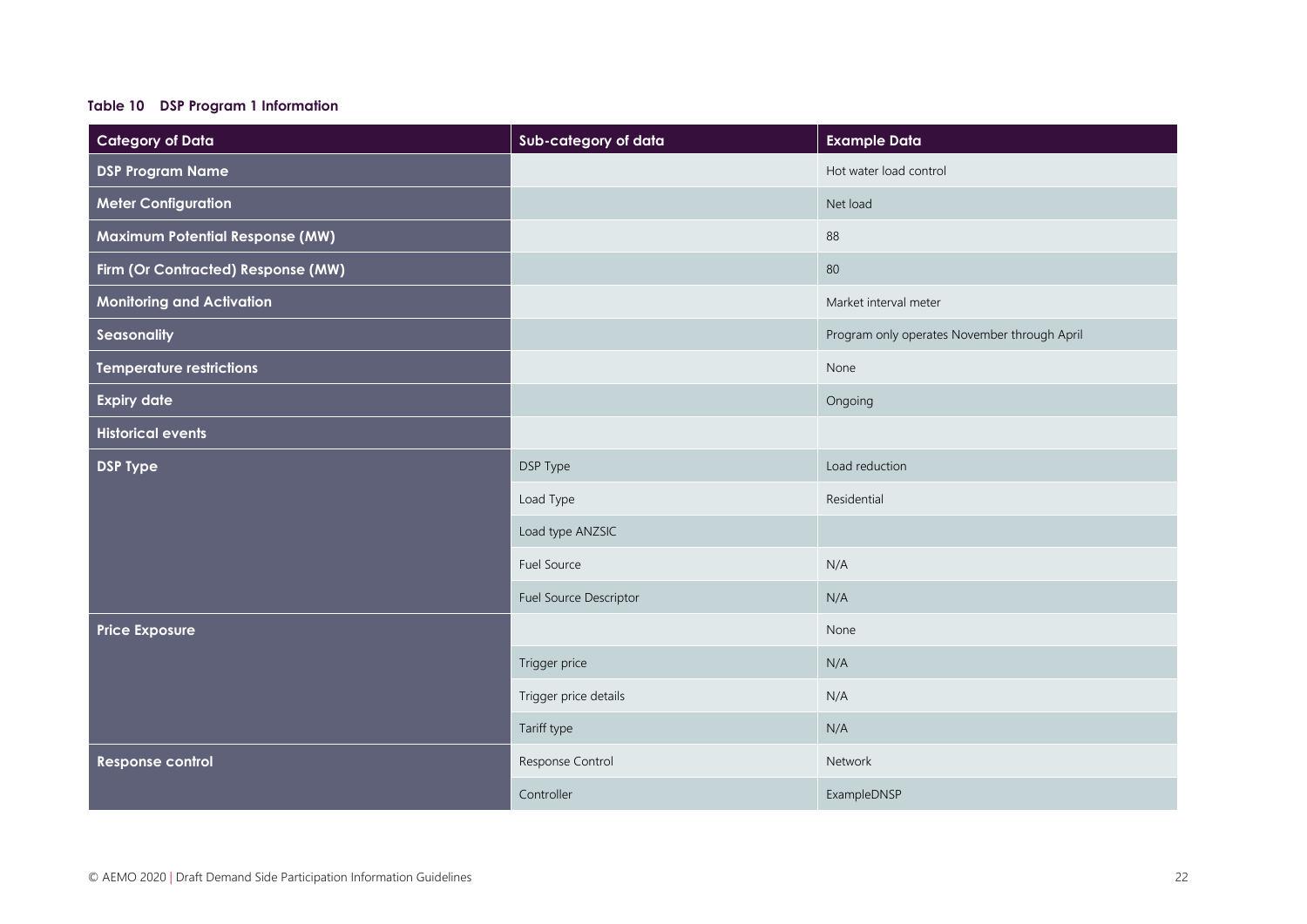#### **Table 10 DSP Program 1 Information**

| <b>Category of Data</b>                | Sub-category of data   | <b>Example Data</b>                          |
|----------------------------------------|------------------------|----------------------------------------------|
| <b>DSP Program Name</b>                |                        | Hot water load control                       |
| <b>Meter Configuration</b>             |                        | Net load                                     |
| <b>Maximum Potential Response (MW)</b> |                        | 88                                           |
| Firm (Or Contracted) Response (MW)     |                        | 80                                           |
| <b>Monitoring and Activation</b>       |                        | Market interval meter                        |
| Seasonality                            |                        | Program only operates November through April |
| <b>Temperature restrictions</b>        |                        | None                                         |
| <b>Expiry date</b>                     |                        | Ongoing                                      |
| <b>Historical events</b>               |                        |                                              |
| <b>DSP Type</b>                        | DSP Type               | Load reduction                               |
|                                        | Load Type              | Residential                                  |
|                                        | Load type ANZSIC       |                                              |
|                                        | Fuel Source            | N/A                                          |
|                                        | Fuel Source Descriptor | N/A                                          |
| <b>Price Exposure</b>                  |                        | None                                         |
|                                        | Trigger price          | N/A                                          |
|                                        | Trigger price details  | N/A                                          |
|                                        | Tariff type            | N/A                                          |
| <b>Response control</b>                | Response Control       | Network                                      |
|                                        | Controller             | ExampleDNSP                                  |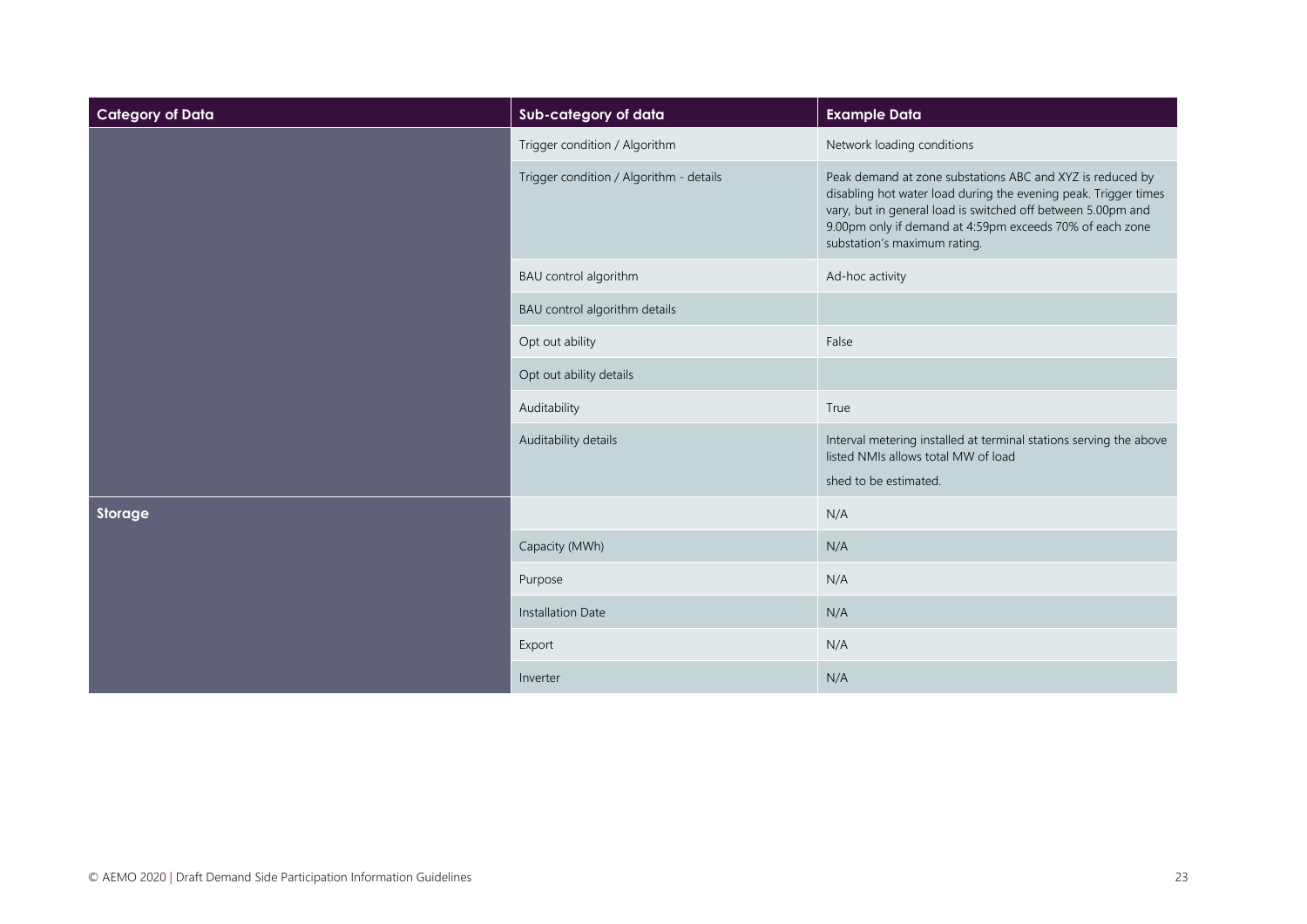| <b>Category of Data</b> | Sub-category of data                    | <b>Example Data</b>                                                                                                                                                                                                                                                                      |
|-------------------------|-----------------------------------------|------------------------------------------------------------------------------------------------------------------------------------------------------------------------------------------------------------------------------------------------------------------------------------------|
|                         | Trigger condition / Algorithm           | Network loading conditions                                                                                                                                                                                                                                                               |
|                         | Trigger condition / Algorithm - details | Peak demand at zone substations ABC and XYZ is reduced by<br>disabling hot water load during the evening peak. Trigger times<br>vary, but in general load is switched off between 5.00pm and<br>9.00pm only if demand at 4:59pm exceeds 70% of each zone<br>substation's maximum rating. |
|                         | BAU control algorithm                   | Ad-hoc activity                                                                                                                                                                                                                                                                          |
|                         | BAU control algorithm details           |                                                                                                                                                                                                                                                                                          |
|                         | Opt out ability                         | False                                                                                                                                                                                                                                                                                    |
|                         | Opt out ability details                 |                                                                                                                                                                                                                                                                                          |
|                         | Auditability                            | True                                                                                                                                                                                                                                                                                     |
|                         | Auditability details                    | Interval metering installed at terminal stations serving the above<br>listed NMIs allows total MW of load<br>shed to be estimated.                                                                                                                                                       |
| Storage                 |                                         | N/A                                                                                                                                                                                                                                                                                      |
|                         | Capacity (MWh)                          | N/A                                                                                                                                                                                                                                                                                      |
|                         | Purpose                                 | N/A                                                                                                                                                                                                                                                                                      |
|                         | <b>Installation Date</b>                | N/A                                                                                                                                                                                                                                                                                      |
|                         | Export                                  | N/A                                                                                                                                                                                                                                                                                      |
|                         | Inverter                                | N/A                                                                                                                                                                                                                                                                                      |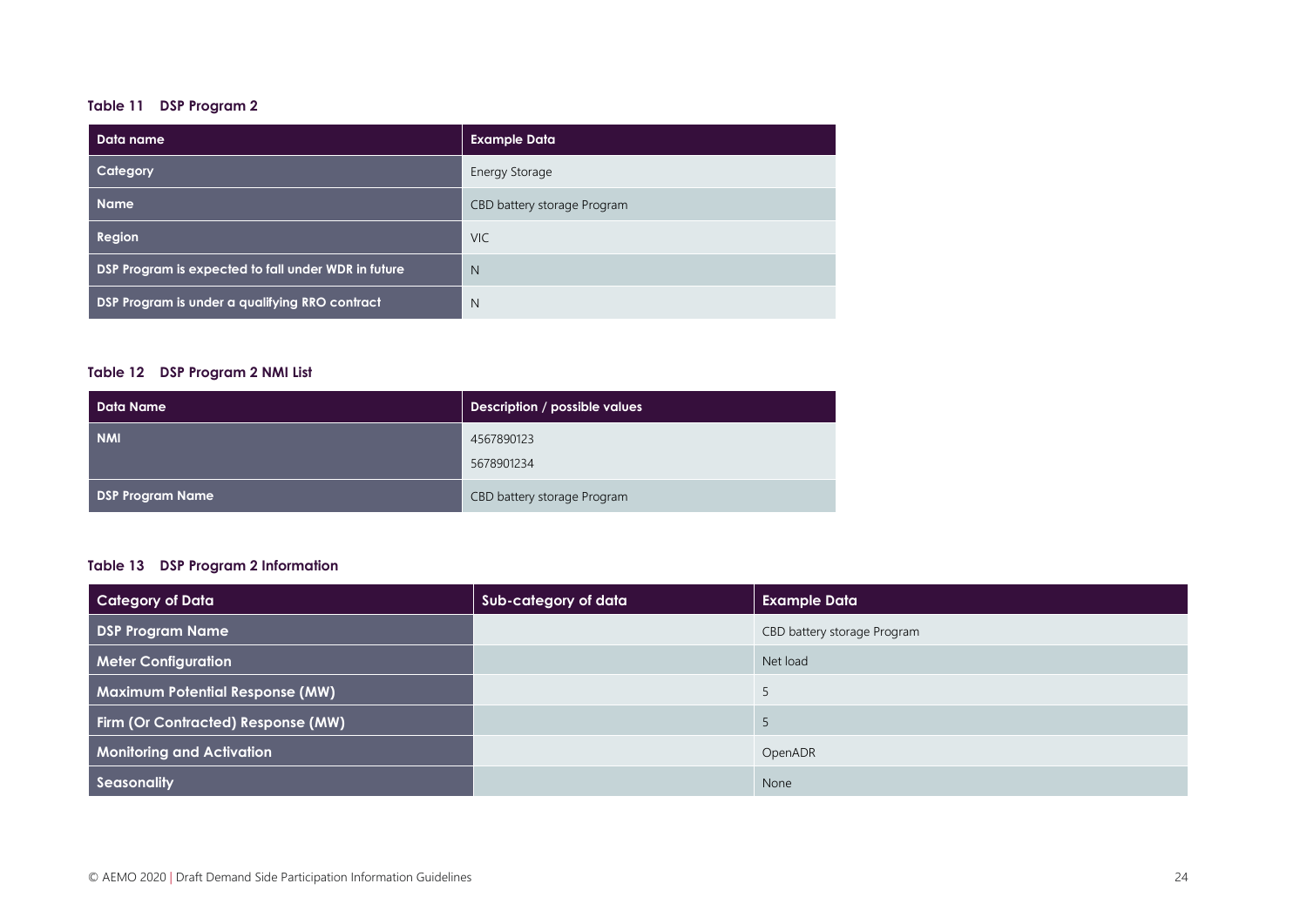#### **Table 11 DSP Program 2**

| Data name                                           | <b>Example Data</b>         |
|-----------------------------------------------------|-----------------------------|
| Category                                            | <b>Energy Storage</b>       |
| <b>Name</b>                                         | CBD battery storage Program |
| Region                                              | <b>VIC</b>                  |
| DSP Program is expected to fall under WDR in future | N                           |
| DSP Program is under a qualifying RRO contract      | N                           |

#### **Table 12 DSP Program 2 NMI List**

| Data Name               | Description / possible values |
|-------------------------|-------------------------------|
| <b>NMI</b>              | 4567890123                    |
|                         | 5678901234                    |
| <b>DSP Program Name</b> | CBD battery storage Program   |

#### **Table 13 DSP Program 2 Information**

| <b>Category of Data</b>                | Sub-category of data | <b>Example Data</b>         |
|----------------------------------------|----------------------|-----------------------------|
| <b>DSP Program Name</b>                |                      | CBD battery storage Program |
| <b>Meter Configuration</b>             |                      | Net load                    |
| <b>Maximum Potential Response (MW)</b> |                      |                             |
| Firm (Or Contracted) Response (MW)     |                      |                             |
| <b>Monitoring and Activation</b>       |                      | OpenADR                     |
| <b>Seasonality</b>                     |                      | None                        |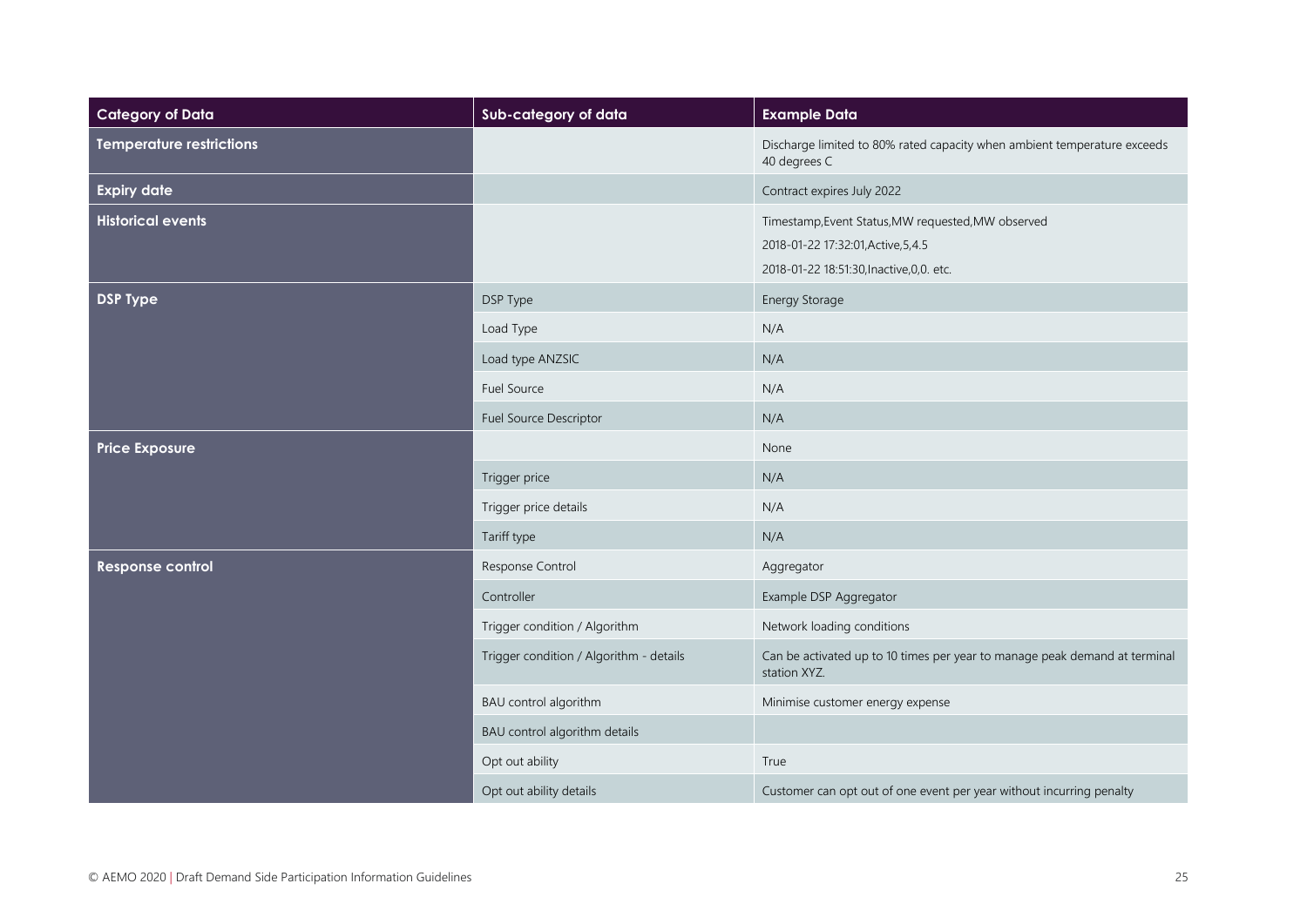| <b>Category of Data</b>         | Sub-category of data                    | <b>Example Data</b>                                                                                                                    |
|---------------------------------|-----------------------------------------|----------------------------------------------------------------------------------------------------------------------------------------|
| <b>Temperature restrictions</b> |                                         | Discharge limited to 80% rated capacity when ambient temperature exceeds<br>40 degrees C                                               |
| <b>Expiry date</b>              |                                         | Contract expires July 2022                                                                                                             |
| <b>Historical events</b>        |                                         | Timestamp, Event Status, MW requested, MW observed<br>2018-01-22 17:32:01, Active, 5, 4.5<br>2018-01-22 18:51:30, Inactive, 0, 0. etc. |
| <b>DSP Type</b>                 | DSP Type                                | Energy Storage                                                                                                                         |
|                                 | Load Type                               | N/A                                                                                                                                    |
|                                 | Load type ANZSIC                        | N/A                                                                                                                                    |
|                                 | <b>Fuel Source</b>                      | N/A                                                                                                                                    |
|                                 | Fuel Source Descriptor                  | N/A                                                                                                                                    |
| <b>Price Exposure</b>           |                                         | None                                                                                                                                   |
|                                 | Trigger price                           | N/A                                                                                                                                    |
|                                 | Trigger price details                   | N/A                                                                                                                                    |
|                                 | Tariff type                             | N/A                                                                                                                                    |
| Response control                | Response Control                        | Aggregator                                                                                                                             |
|                                 | Controller                              | Example DSP Aggregator                                                                                                                 |
|                                 | Trigger condition / Algorithm           | Network loading conditions                                                                                                             |
|                                 | Trigger condition / Algorithm - details | Can be activated up to 10 times per year to manage peak demand at terminal<br>station XYZ.                                             |
|                                 | BAU control algorithm                   | Minimise customer energy expense                                                                                                       |
|                                 | BAU control algorithm details           |                                                                                                                                        |
|                                 | Opt out ability                         | True                                                                                                                                   |
|                                 | Opt out ability details                 | Customer can opt out of one event per year without incurring penalty                                                                   |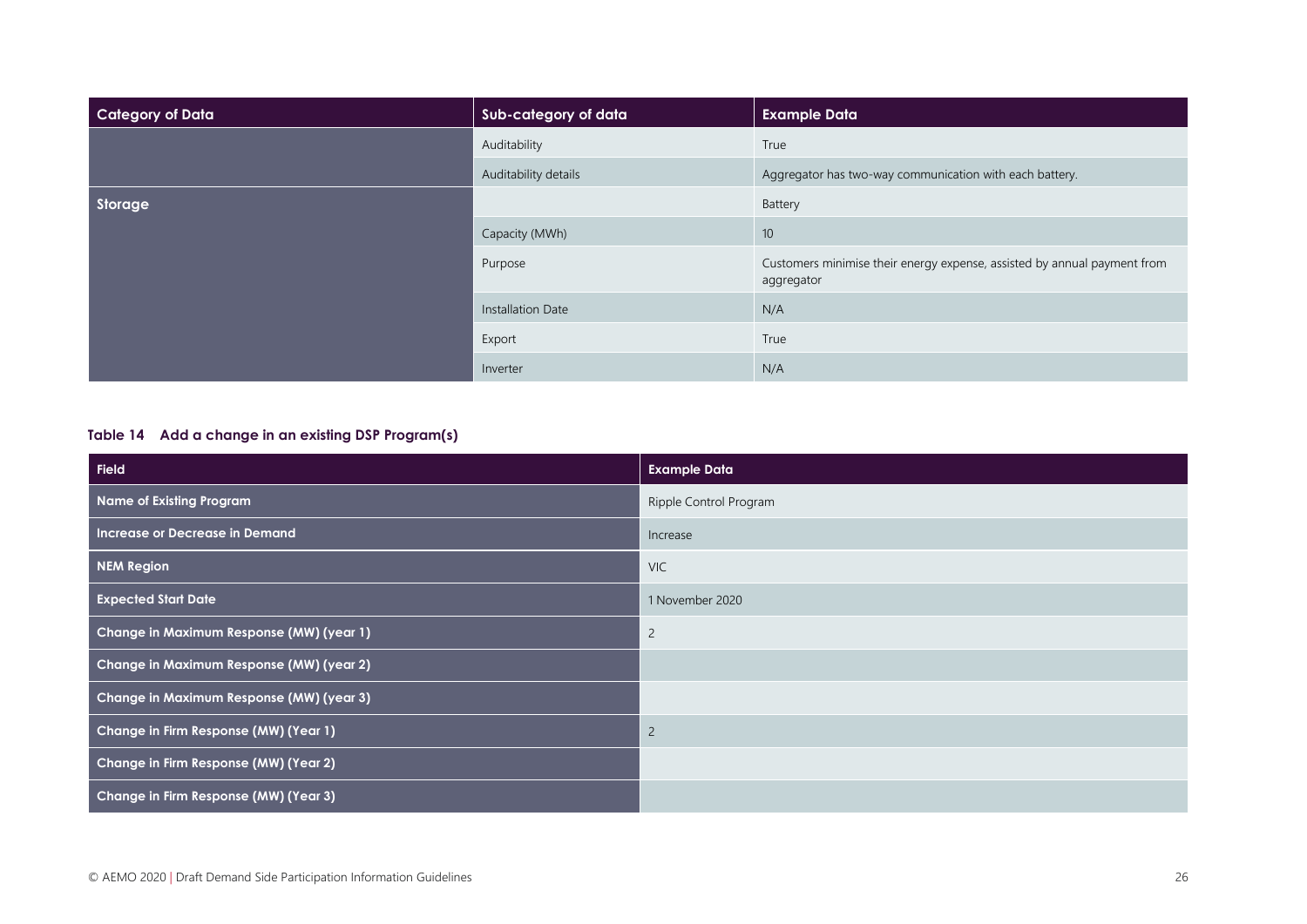| Category of Data | Sub-category of data | <b>Example Data</b>                                                                    |
|------------------|----------------------|----------------------------------------------------------------------------------------|
|                  | Auditability         | True                                                                                   |
|                  | Auditability details | Aggregator has two-way communication with each battery.                                |
| Storage          |                      | Battery                                                                                |
|                  | Capacity (MWh)       | 10                                                                                     |
|                  | Purpose              | Customers minimise their energy expense, assisted by annual payment from<br>aggregator |
|                  | Installation Date    | N/A                                                                                    |
|                  | Export               | True                                                                                   |
|                  | Inverter             | N/A                                                                                    |

#### **Table 14 Add a change in an existing DSP Program(s)**

| <b>Field</b>                             | <b>Example Data</b>    |
|------------------------------------------|------------------------|
| <b>Name of Existing Program</b>          | Ripple Control Program |
| Increase or Decrease in Demand           | Increase               |
| <b>NEM Region</b>                        | <b>VIC</b>             |
| <b>Expected Start Date</b>               | 1 November 2020        |
| Change in Maximum Response (MW) (year 1) | $\overline{c}$         |
| Change in Maximum Response (MW) (year 2) |                        |
| Change in Maximum Response (MW) (year 3) |                        |
| Change in Firm Response (MW) (Year 1)    | $\overline{2}$         |
| Change in Firm Response (MW) (Year 2)    |                        |
| Change in Firm Response (MW) (Year 3)    |                        |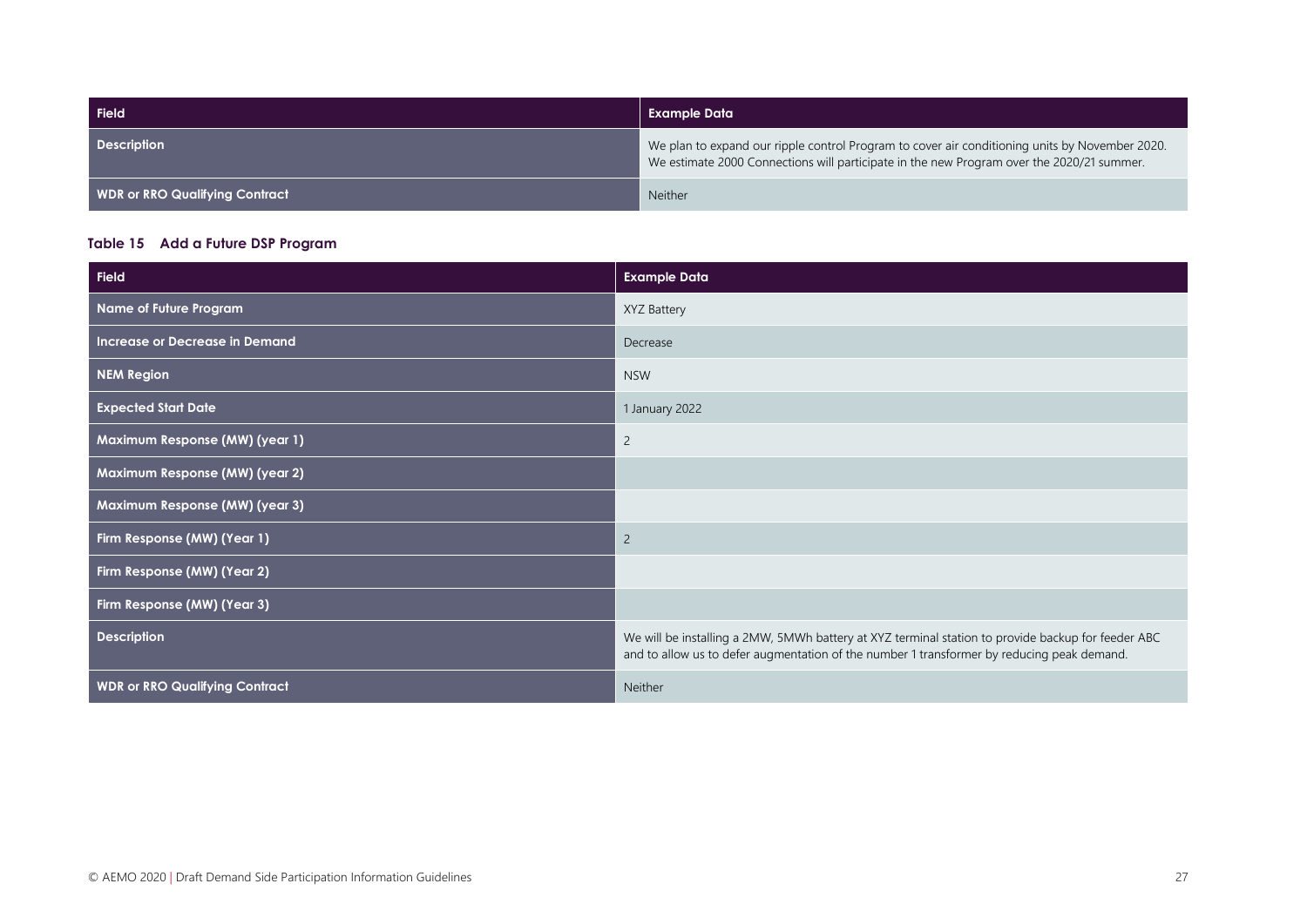| Field                                 | Example Data                                                                                                                                                                                |
|---------------------------------------|---------------------------------------------------------------------------------------------------------------------------------------------------------------------------------------------|
| <b>Description</b>                    | We plan to expand our ripple control Program to cover air conditioning units by November 2020.<br>We estimate 2000 Connections will participate in the new Program over the 2020/21 summer. |
| <b>WDR or RRO Qualifying Contract</b> | <b>Neither</b>                                                                                                                                                                              |

#### **Table 15 Add a Future DSP Program**

| <b>Field</b>                          | <b>Example Data</b>                                                                                                                                                                              |
|---------------------------------------|--------------------------------------------------------------------------------------------------------------------------------------------------------------------------------------------------|
| Name of Future Program                | XYZ Battery                                                                                                                                                                                      |
| Increase or Decrease in Demand        | Decrease                                                                                                                                                                                         |
| <b>NEM Region</b>                     | <b>NSW</b>                                                                                                                                                                                       |
| <b>Expected Start Date</b>            | 1 January 2022                                                                                                                                                                                   |
| Maximum Response (MW) (year 1)        | $\overline{c}$                                                                                                                                                                                   |
| Maximum Response (MW) (year 2)        |                                                                                                                                                                                                  |
| Maximum Response (MW) (year 3)        |                                                                                                                                                                                                  |
| Firm Response (MW) (Year 1)           | $\overline{2}$                                                                                                                                                                                   |
| Firm Response (MW) (Year 2)           |                                                                                                                                                                                                  |
| Firm Response (MW) (Year 3)           |                                                                                                                                                                                                  |
| <b>Description</b>                    | We will be installing a 2MW, 5MWh battery at XYZ terminal station to provide backup for feeder ABC<br>and to allow us to defer augmentation of the number 1 transformer by reducing peak demand. |
| <b>WDR or RRO Qualifying Contract</b> | Neither                                                                                                                                                                                          |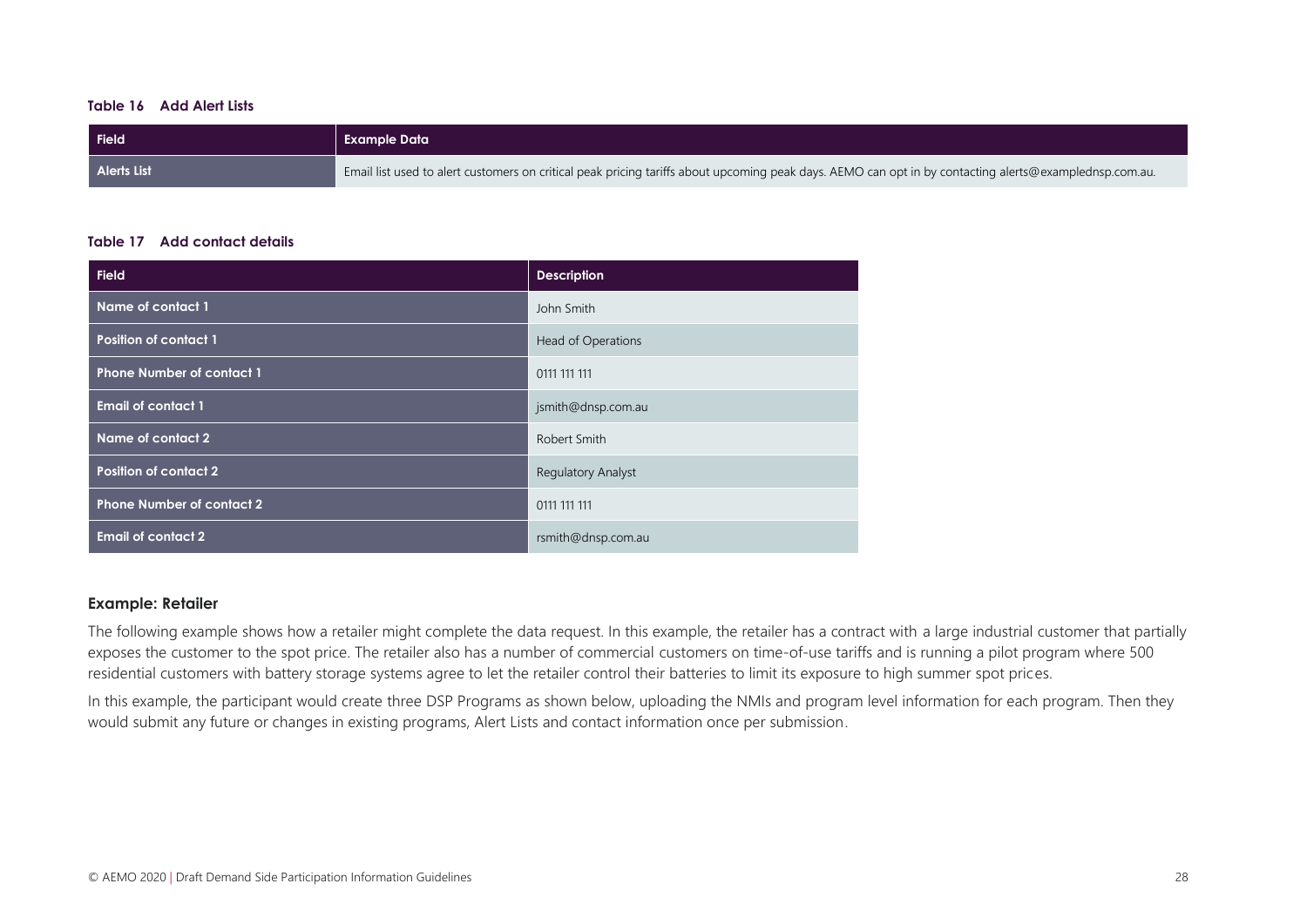#### **Table 16 Add Alert Lists**

| Field              | <b>Example Data</b>                                                                                                                                    |
|--------------------|--------------------------------------------------------------------------------------------------------------------------------------------------------|
| <b>Alerts List</b> | Email list used to alert customers on critical peak pricing tariffs about upcoming peak days. AEMO can opt in by contacting alerts@examplednsp.com.au. |

#### **Table 17 Add contact details**

| <b>Field</b>                     | <b>Description</b>        |
|----------------------------------|---------------------------|
| Name of contact 1                | John Smith                |
| <b>Position of contact 1</b>     | <b>Head of Operations</b> |
| <b>Phone Number of contact 1</b> | 0111 111 111              |
| <b>Email of contact 1</b>        | jsmith@dnsp.com.au        |
| Name of contact 2                | Robert Smith              |
| <b>Position of contact 2</b>     | <b>Regulatory Analyst</b> |
| <b>Phone Number of contact 2</b> | 0111 111 111              |
| <b>Email of contact 2</b>        | rsmith@dnsp.com.au        |

#### **Example: Retailer**

The following example shows how a retailer might complete the data request. In this example, the retailer has a contract with a large industrial customer that partially exposes the customer to the spot price. The retailer also has a number of commercial customers on time-of-use tariffs and is running a pilot program where 500 residential customers with battery storage systems agree to let the retailer control their batteries to limit its exposure to high summer spot prices.

In this example, the participant would create three DSP Programs as shown below, uploading the NMIs and program level information for each program. Then they would submit any future or changes in existing programs, Alert Lists and contact information once per submission.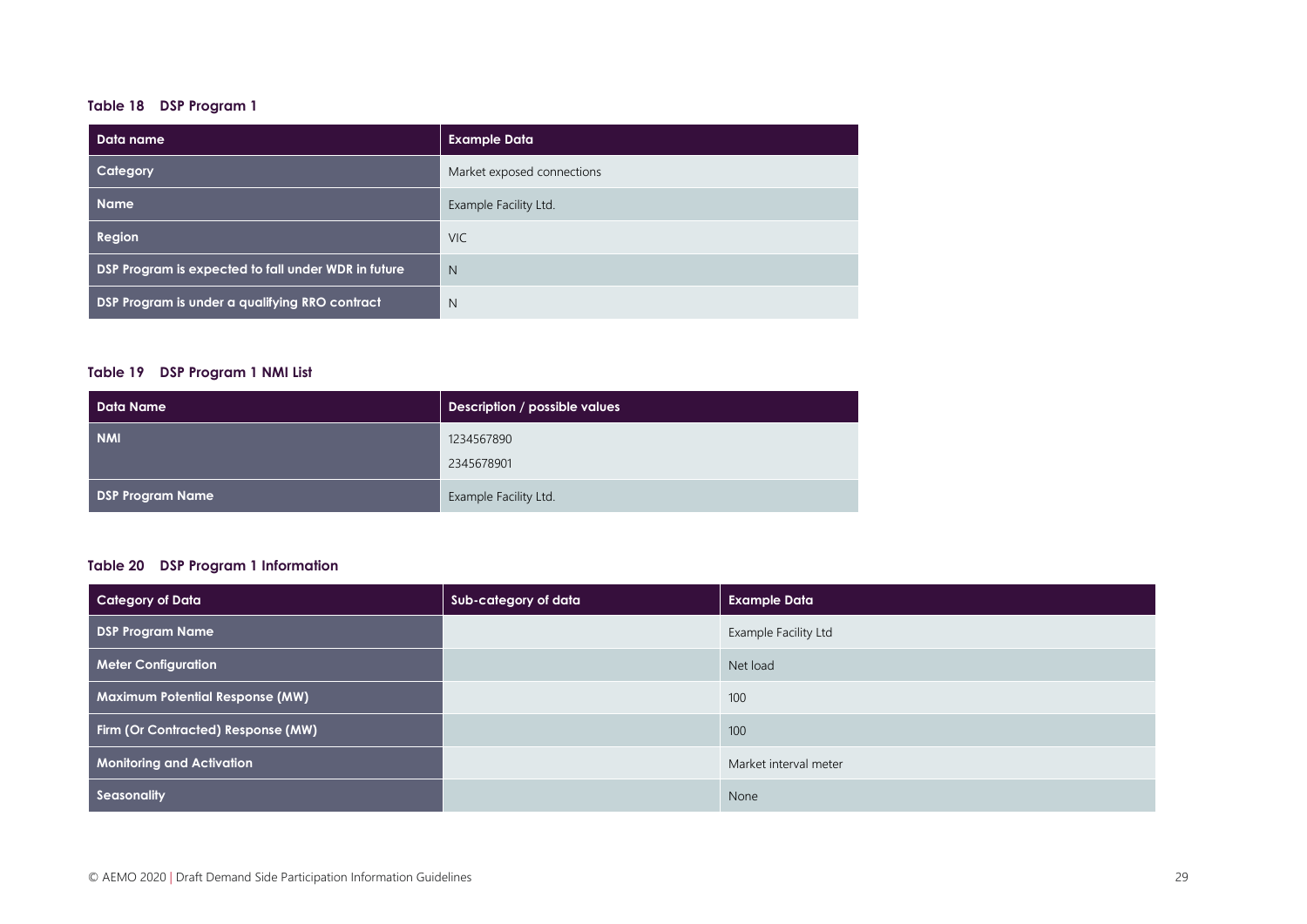#### **Table 18 DSP Program 1**

| Data name                                           | <b>Example Data</b>        |
|-----------------------------------------------------|----------------------------|
| Category                                            | Market exposed connections |
| <b>Name</b>                                         | Example Facility Ltd.      |
| Region                                              | <b>VIC</b>                 |
| DSP Program is expected to fall under WDR in future | N                          |
| DSP Program is under a qualifying RRO contract      | N                          |

#### **Table 19 DSP Program 1 NMI List**

| <b>Data Name</b>        | Description / possible values |
|-------------------------|-------------------------------|
| <b>NMI</b>              | 1234567890                    |
|                         | 2345678901                    |
| <b>DSP Program Name</b> | Example Facility Ltd.         |

#### **Table 20 DSP Program 1 Information**

| <b>Category of Data</b>                | Sub-category of data | <b>Example Data</b>   |
|----------------------------------------|----------------------|-----------------------|
| <b>DSP Program Name</b>                |                      | Example Facility Ltd  |
| <b>Meter Configuration</b>             |                      | Net load              |
| <b>Maximum Potential Response (MW)</b> |                      | 100                   |
| Firm (Or Contracted) Response (MW)     |                      | 100                   |
| <b>Monitoring and Activation</b>       |                      | Market interval meter |
| Seasonality                            |                      | None                  |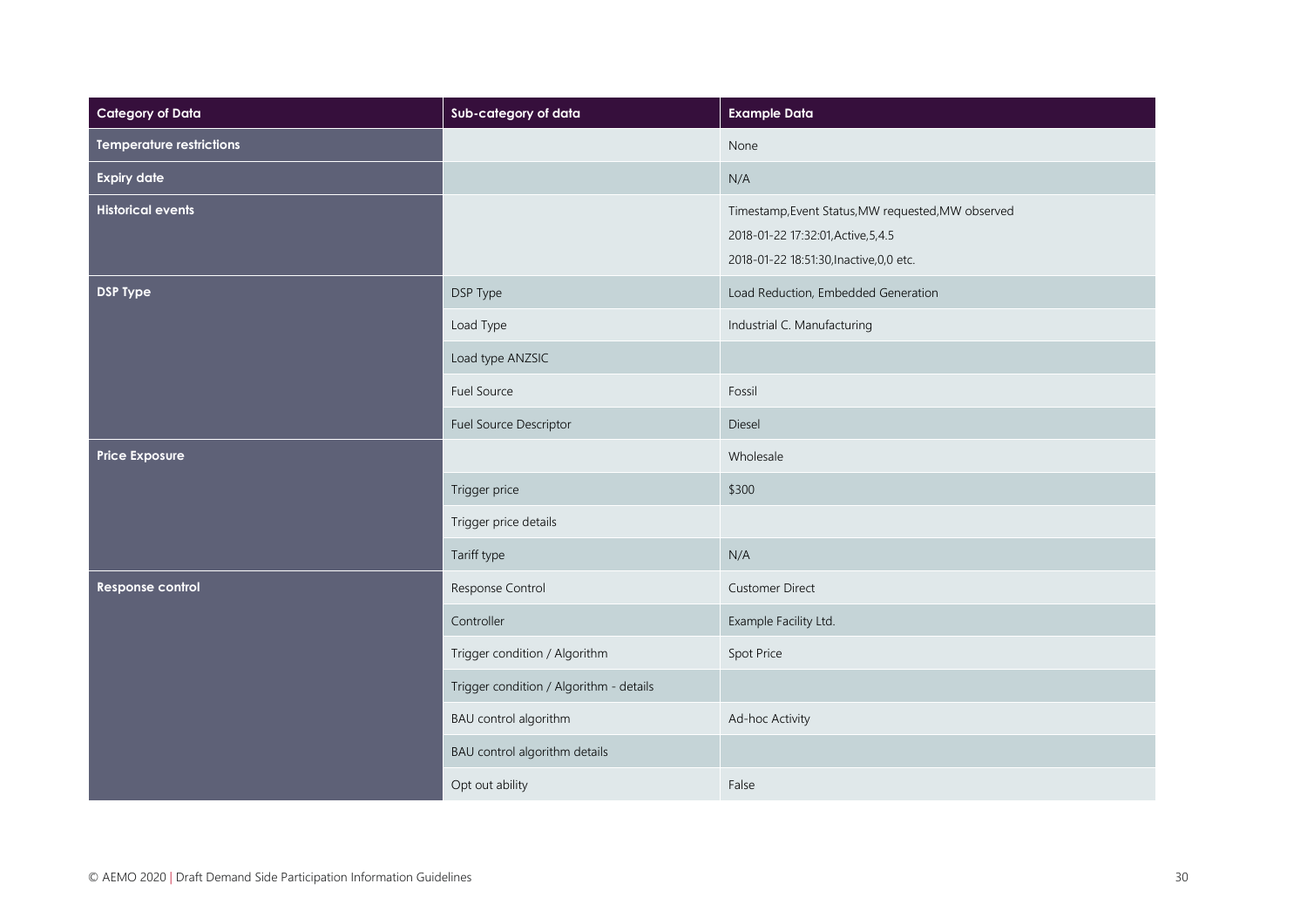| <b>Category of Data</b>         | Sub-category of data                    | <b>Example Data</b>                                                                                                                   |
|---------------------------------|-----------------------------------------|---------------------------------------------------------------------------------------------------------------------------------------|
| <b>Temperature restrictions</b> |                                         | None                                                                                                                                  |
| <b>Expiry date</b>              |                                         | N/A                                                                                                                                   |
| <b>Historical events</b>        |                                         | Timestamp, Event Status, MW requested, MW observed<br>2018-01-22 17:32:01, Active, 5, 4.5<br>2018-01-22 18:51:30, Inactive, 0, 0 etc. |
| <b>DSP Type</b>                 | DSP Type                                | Load Reduction, Embedded Generation                                                                                                   |
|                                 | Load Type                               | Industrial C. Manufacturing                                                                                                           |
|                                 | Load type ANZSIC                        |                                                                                                                                       |
|                                 | Fuel Source                             | Fossil                                                                                                                                |
|                                 | Fuel Source Descriptor                  | Diesel                                                                                                                                |
| <b>Price Exposure</b>           |                                         | Wholesale                                                                                                                             |
|                                 | Trigger price                           | \$300                                                                                                                                 |
|                                 | Trigger price details                   |                                                                                                                                       |
|                                 | Tariff type                             | N/A                                                                                                                                   |
| Response control                | Response Control                        | <b>Customer Direct</b>                                                                                                                |
|                                 | Controller                              | Example Facility Ltd.                                                                                                                 |
|                                 | Trigger condition / Algorithm           | Spot Price                                                                                                                            |
|                                 | Trigger condition / Algorithm - details |                                                                                                                                       |
|                                 | BAU control algorithm                   | Ad-hoc Activity                                                                                                                       |
|                                 | BAU control algorithm details           |                                                                                                                                       |
|                                 | Opt out ability                         | False                                                                                                                                 |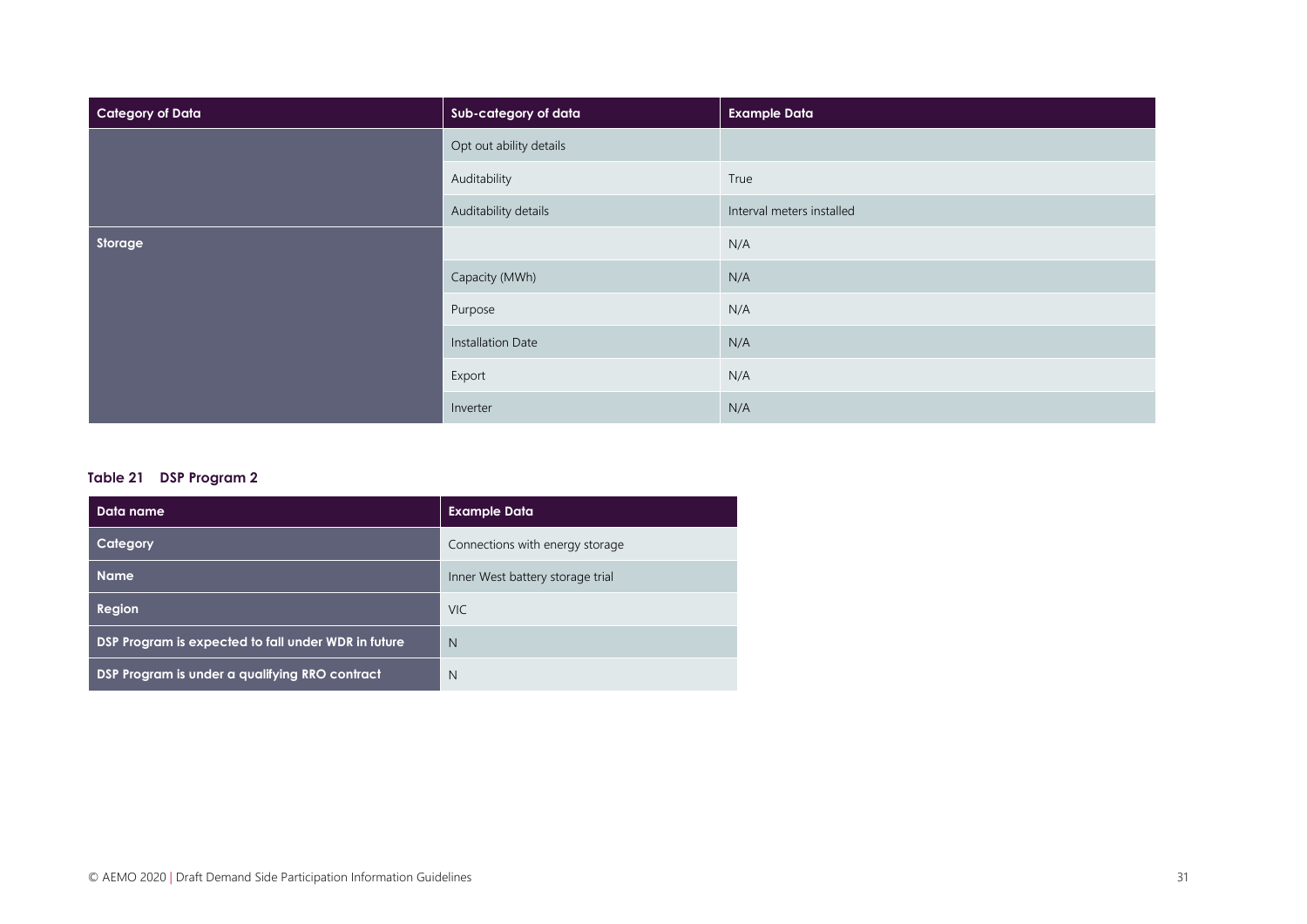| <b>Category of Data</b> | Sub-category of data    | <b>Example Data</b>       |
|-------------------------|-------------------------|---------------------------|
|                         | Opt out ability details |                           |
|                         | Auditability            | True                      |
|                         | Auditability details    | Interval meters installed |
| Storage                 |                         | N/A                       |
|                         | Capacity (MWh)          | N/A                       |
|                         | Purpose                 | N/A                       |
|                         | Installation Date       | N/A                       |
|                         | Export                  | N/A                       |
|                         | Inverter                | N/A                       |

#### **Table 21 DSP Program 2**

| Data name                                           | <b>Example Data</b>              |
|-----------------------------------------------------|----------------------------------|
| Category                                            | Connections with energy storage  |
| <b>Name</b>                                         | Inner West battery storage trial |
| Region                                              | <b>VIC</b>                       |
| DSP Program is expected to fall under WDR in future | N                                |
| DSP Program is under a qualifying RRO contract      | N                                |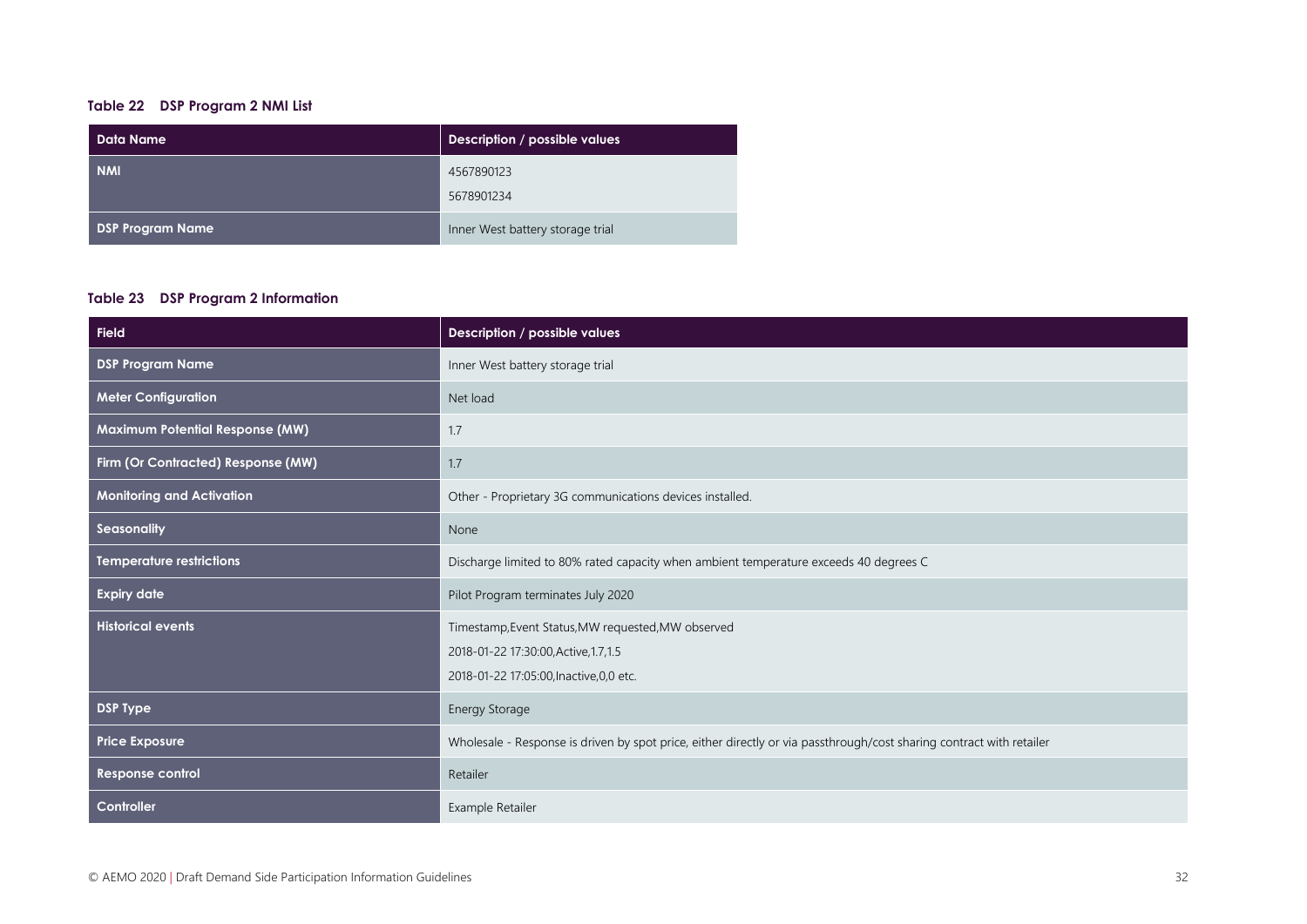#### **Table 22 DSP Program 2 NMI List**

| Data Name               | Description / possible values    |
|-------------------------|----------------------------------|
| <b>NMI</b>              | 4567890123                       |
|                         | 5678901234                       |
| <b>DSP Program Name</b> | Inner West battery storage trial |

#### **Table 23 DSP Program 2 Information**

| <b>Field</b>                           | Description / possible values                                                                                                           |
|----------------------------------------|-----------------------------------------------------------------------------------------------------------------------------------------|
| <b>DSP Program Name</b>                | Inner West battery storage trial                                                                                                        |
| <b>Meter Configuration</b>             | Net load                                                                                                                                |
| <b>Maximum Potential Response (MW)</b> | 1.7                                                                                                                                     |
| Firm (Or Contracted) Response (MW)     | 1.7                                                                                                                                     |
| <b>Monitoring and Activation</b>       | Other - Proprietary 3G communications devices installed.                                                                                |
| Seasonality                            | None                                                                                                                                    |
| <b>Temperature restrictions</b>        | Discharge limited to 80% rated capacity when ambient temperature exceeds 40 degrees C                                                   |
| <b>Expiry date</b>                     | Pilot Program terminates July 2020                                                                                                      |
| <b>Historical events</b>               | Timestamp, Event Status, MW requested, MW observed<br>2018-01-22 17:30:00, Active, 1.7, 1.5<br>2018-01-22 17:05:00, Inactive, 0, 0 etc. |
| <b>DSP Type</b>                        | Energy Storage                                                                                                                          |
| <b>Price Exposure</b>                  | Wholesale - Response is driven by spot price, either directly or via passthrough/cost sharing contract with retailer                    |
| Response control                       | Retailer                                                                                                                                |
| Controller                             | Example Retailer                                                                                                                        |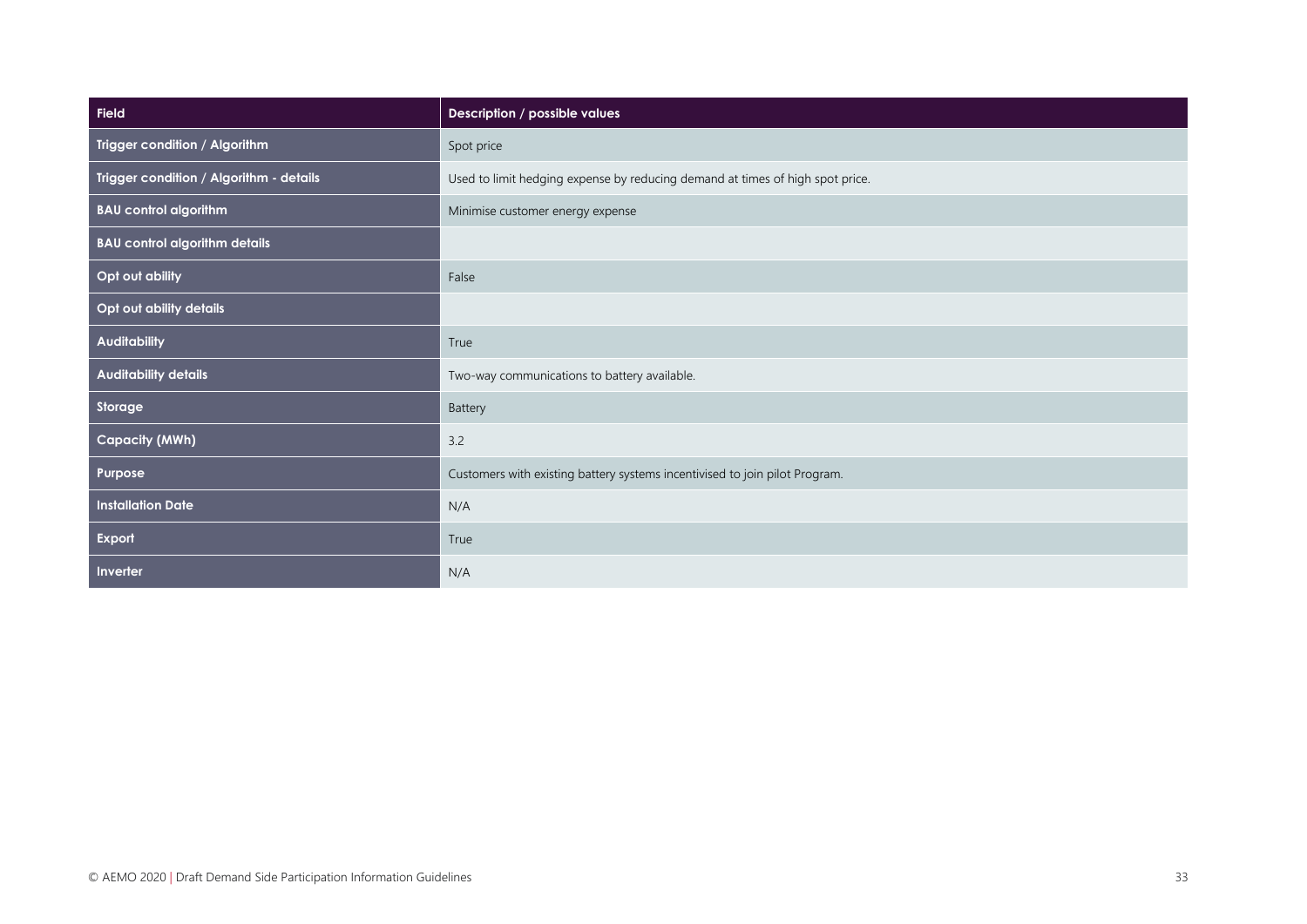| <b>Field</b>                            | Description / possible values                                                 |
|-----------------------------------------|-------------------------------------------------------------------------------|
| Trigger condition / Algorithm           | Spot price                                                                    |
| Trigger condition / Algorithm - details | Used to limit hedging expense by reducing demand at times of high spot price. |
| <b>BAU control algorithm</b>            | Minimise customer energy expense                                              |
| <b>BAU control algorithm details</b>    |                                                                               |
| Opt out ability                         | False                                                                         |
| Opt out ability details                 |                                                                               |
| <b>Auditability</b>                     | True                                                                          |
| <b>Auditability details</b>             | Two-way communications to battery available.                                  |
| Storage                                 | Battery                                                                       |
| <b>Capacity (MWh)</b>                   | 3.2                                                                           |
| Purpose                                 | Customers with existing battery systems incentivised to join pilot Program.   |
| <b>Installation Date</b>                | N/A                                                                           |
| Export                                  | True                                                                          |
| Inverter                                | N/A                                                                           |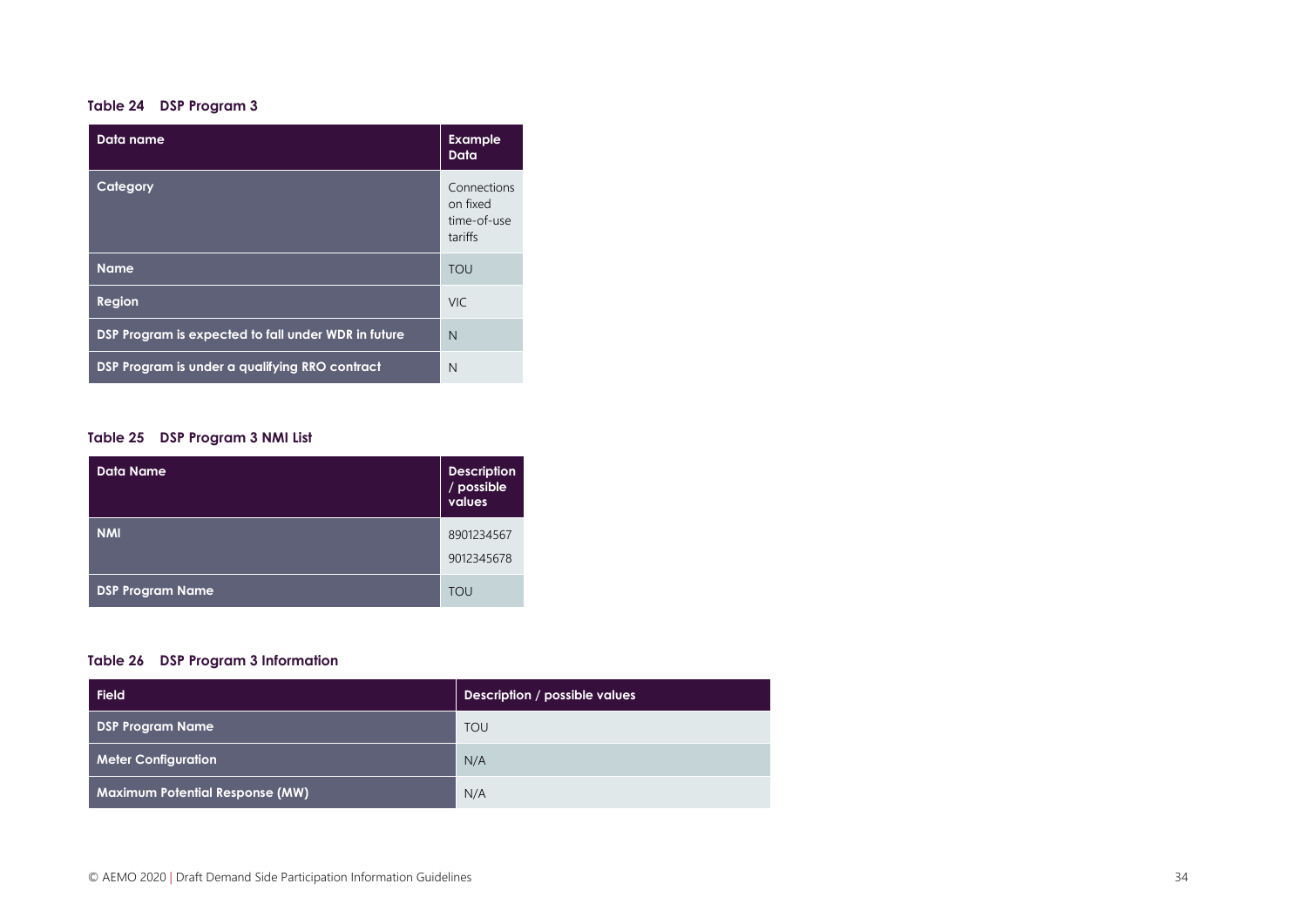#### **Table 24 DSP Program 3**

| Data name                                           | <b>Example</b><br>Data                            |
|-----------------------------------------------------|---------------------------------------------------|
| Category                                            | Connections<br>on fixed<br>time-of-use<br>tariffs |
| <b>Name</b>                                         | TOU                                               |
| <b>Region</b>                                       | <b>VIC</b>                                        |
| DSP Program is expected to fall under WDR in future | N                                                 |
| DSP Program is under a qualifying RRO contract      | N                                                 |

#### **Table 25 DSP Program 3 NMI List**

| <b>Data Name</b>        | <b>Description</b><br>/ possible<br>values |
|-------------------------|--------------------------------------------|
| <b>NMI</b>              | 8901234567<br>9012345678                   |
| <b>DSP Program Name</b> | <b>TOU</b>                                 |

#### **Table 26 DSP Program 3 Information**

| <b>Field</b>                           | Description / possible values |
|----------------------------------------|-------------------------------|
| <b>DSP Program Name</b>                | <b>TOU</b>                    |
| <b>Meter Configuration</b>             | N/A                           |
| <b>Maximum Potential Response (MW)</b> | N/A                           |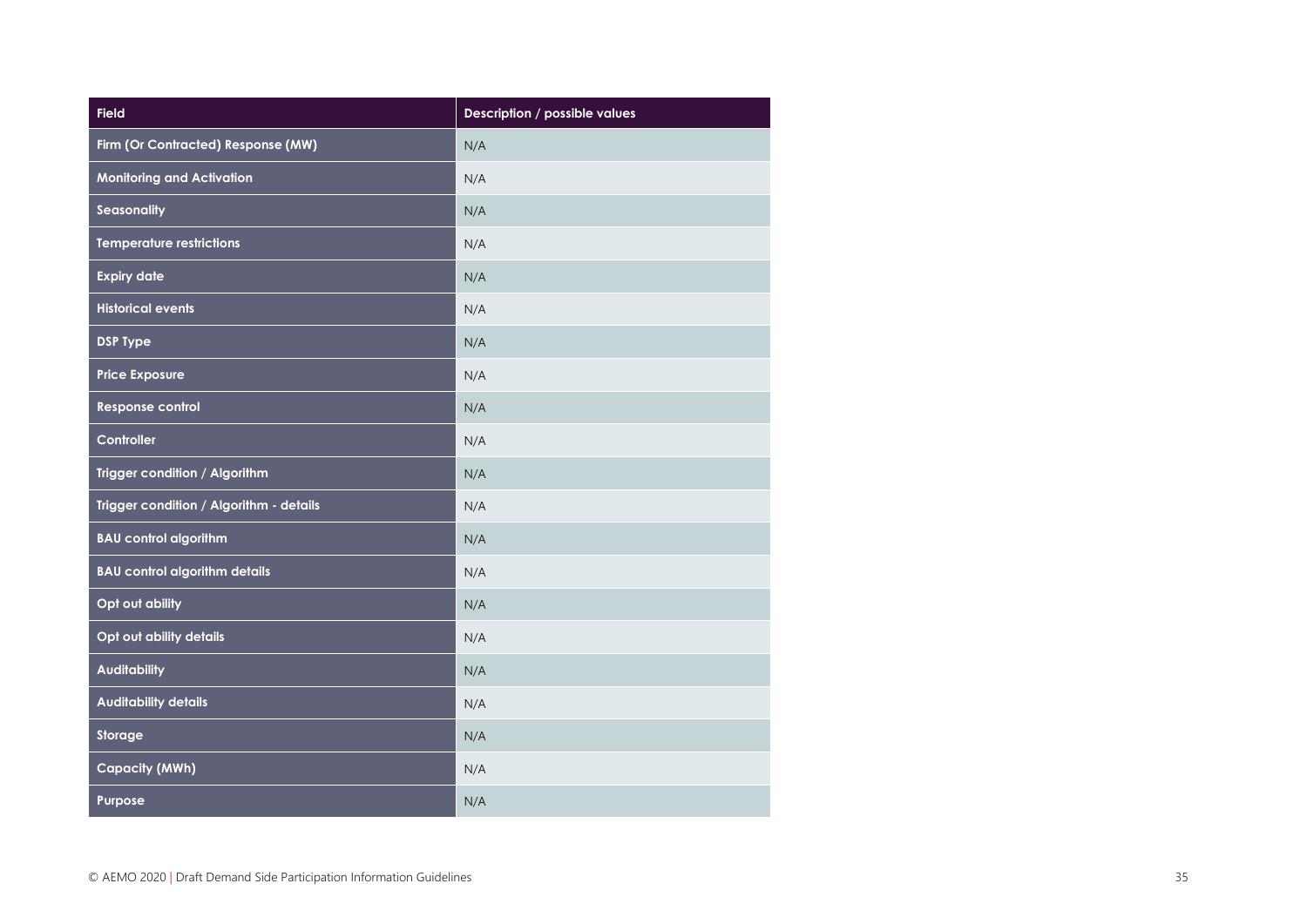| Field                                   | Description / possible values |
|-----------------------------------------|-------------------------------|
| Firm (Or Contracted) Response (MW)      | N/A                           |
| <b>Monitoring and Activation</b>        | N/A                           |
| Seasonality                             | N/A                           |
| <b>Temperature restrictions</b>         | N/A                           |
| <b>Expiry date</b>                      | N/A                           |
| <b>Historical events</b>                | N/A                           |
| <b>DSP Type</b>                         | N/A                           |
| <b>Price Exposure</b>                   | N/A                           |
| Response control                        | N/A                           |
| Controller                              | N/A                           |
| Trigger condition / Algorithm           | N/A                           |
| Trigger condition / Algorithm - details | N/A                           |
| <b>BAU control algorithm</b>            | N/A                           |
| <b>BAU control algorithm details</b>    | N/A                           |
| Opt out ability                         | N/A                           |
| Opt out ability details                 | N/A                           |
| <b>Auditability</b>                     | N/A                           |
| <b>Auditability details</b>             | N/A                           |
| Storage                                 | N/A                           |
| <b>Capacity (MWh)</b>                   | N/A                           |
| Purpose                                 | N/A                           |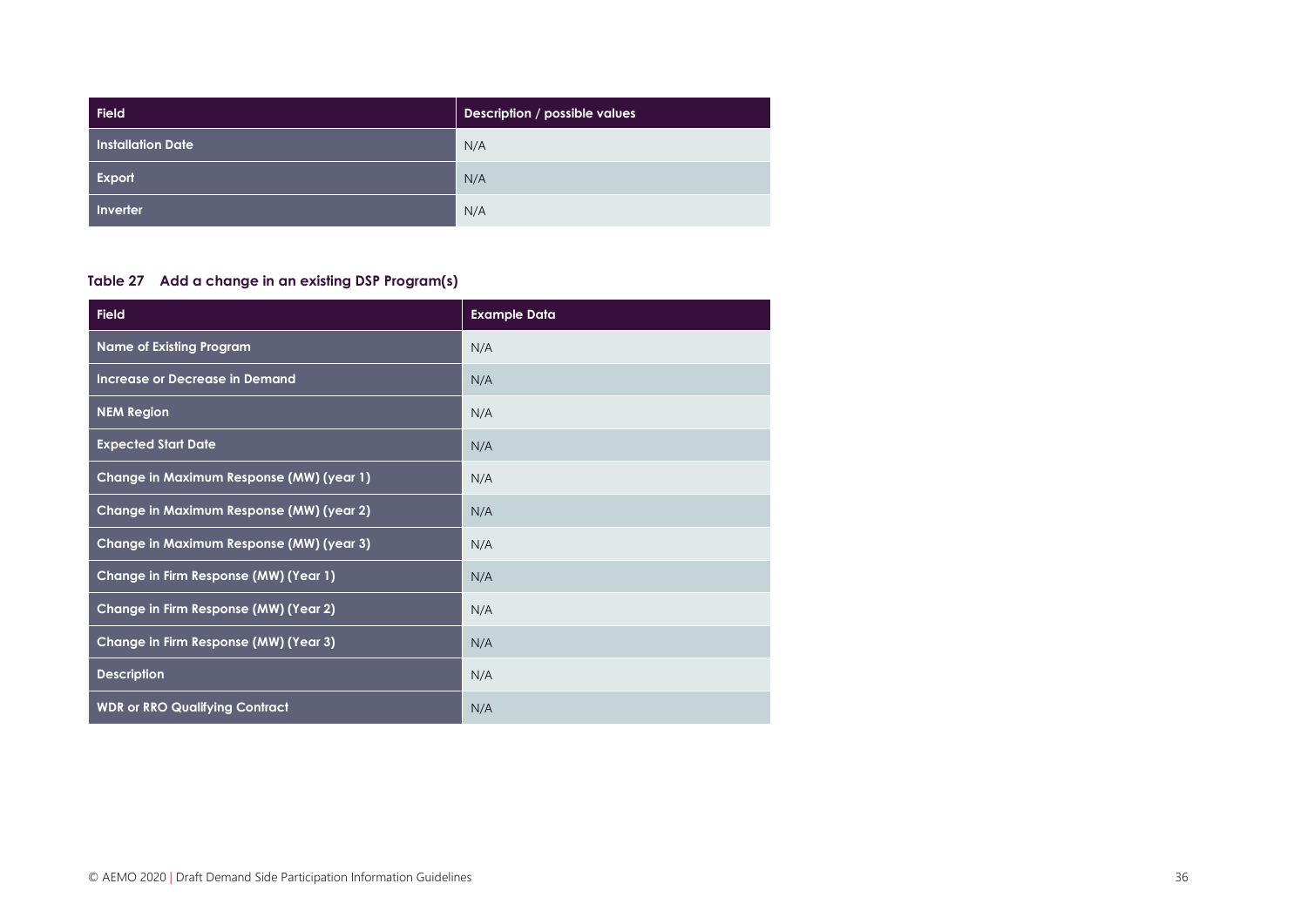| <b>Field</b>      | Description / possible values |
|-------------------|-------------------------------|
| Installation Date | N/A                           |
| Export            | N/A                           |
| Inverter          | N/A                           |

#### **Table 27 Add a change in an existing DSP Program(s)**

| <b>Field</b>                             | <b>Example Data</b> |
|------------------------------------------|---------------------|
| <b>Name of Existing Program</b>          | N/A                 |
| Increase or Decrease in Demand           | N/A                 |
| <b>NEM Region</b>                        | N/A                 |
| <b>Expected Start Date</b>               | N/A                 |
| Change in Maximum Response (MW) (year 1) | N/A                 |
| Change in Maximum Response (MW) (year 2) | N/A                 |
| Change in Maximum Response (MW) (year 3) | N/A                 |
| Change in Firm Response (MW) (Year 1)    | N/A                 |
| Change in Firm Response (MW) (Year 2)    | N/A                 |
| Change in Firm Response (MW) (Year 3)    | N/A                 |
| <b>Description</b>                       | N/A                 |
| <b>WDR or RRO Qualifying Contract</b>    | N/A                 |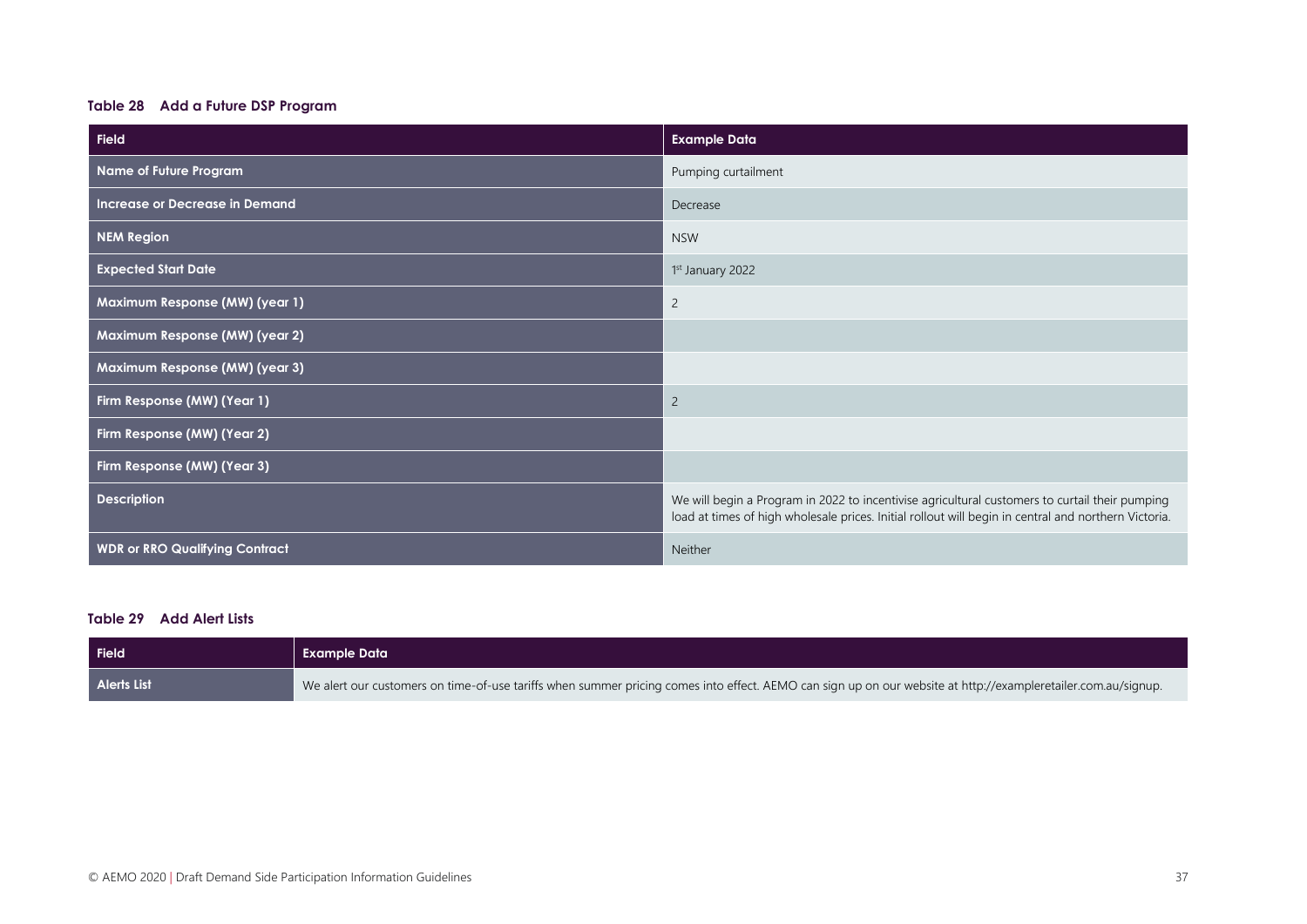#### **Table 28 Add a Future DSP Program**

| <b>Field</b>                          | <b>Example Data</b>                                                                                                                                                                                    |
|---------------------------------------|--------------------------------------------------------------------------------------------------------------------------------------------------------------------------------------------------------|
| Name of Future Program                | Pumping curtailment                                                                                                                                                                                    |
| <b>Increase or Decrease in Demand</b> | Decrease                                                                                                                                                                                               |
| <b>NEM Region</b>                     | <b>NSW</b>                                                                                                                                                                                             |
| <b>Expected Start Date</b>            | 1st January 2022                                                                                                                                                                                       |
| Maximum Response (MW) (year 1)        | $\overline{c}$                                                                                                                                                                                         |
| Maximum Response (MW) (year 2)        |                                                                                                                                                                                                        |
| Maximum Response (MW) (year 3)        |                                                                                                                                                                                                        |
| Firm Response (MW) (Year 1)           | $\overline{c}$                                                                                                                                                                                         |
| Firm Response (MW) (Year 2)           |                                                                                                                                                                                                        |
| Firm Response (MW) (Year 3)           |                                                                                                                                                                                                        |
| <b>Description</b>                    | We will begin a Program in 2022 to incentivise agricultural customers to curtail their pumping<br>load at times of high wholesale prices. Initial rollout will begin in central and northern Victoria. |
| <b>WDR or RRO Qualifying Contract</b> | Neither                                                                                                                                                                                                |

#### **Table 29 Add Alert Lists**

| <b>Field</b>       | <b>Example Data</b>                                                                                                                                           |
|--------------------|---------------------------------------------------------------------------------------------------------------------------------------------------------------|
| <b>Alerts List</b> | We alert our customers on time-of-use tariffs when summer pricing comes into effect. AEMO can sign up on our website at http://exampleretailer.com.au/signup. |